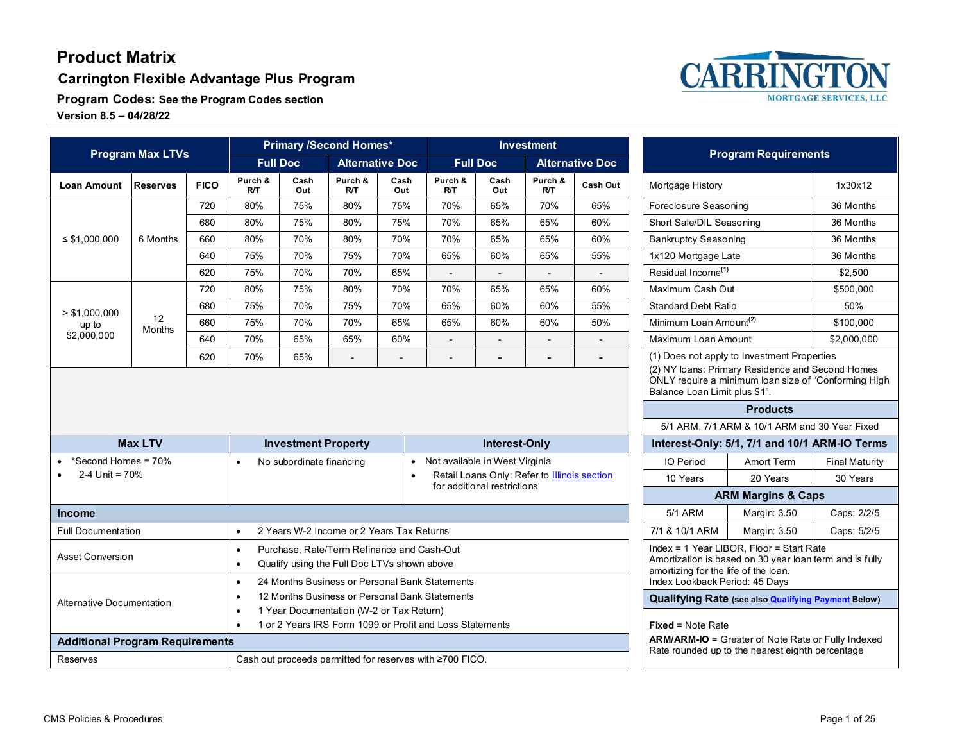**Carrington Flexible Advantage Plus Program**

**Program Codes: See the Program Codes section Version 8.5 – 04/28/22**



| <b>Program Max LTVs</b>                |                 | <b>Primary /Second Homes*</b>                                                                                     |                                                                                                                                                                                    |                                                          |                        |                | <b>Investment</b>                                                                                             |                                                                        |                                                                                                     | <b>Program Requirements</b> |                                    |                                                                                                          |                       |
|----------------------------------------|-----------------|-------------------------------------------------------------------------------------------------------------------|------------------------------------------------------------------------------------------------------------------------------------------------------------------------------------|----------------------------------------------------------|------------------------|----------------|---------------------------------------------------------------------------------------------------------------|------------------------------------------------------------------------|-----------------------------------------------------------------------------------------------------|-----------------------------|------------------------------------|----------------------------------------------------------------------------------------------------------|-----------------------|
|                                        |                 |                                                                                                                   | <b>Full Doc</b>                                                                                                                                                                    |                                                          | <b>Alternative Doc</b> |                |                                                                                                               | <b>Full Doc</b>                                                        |                                                                                                     | <b>Alternative Doc</b>      |                                    |                                                                                                          |                       |
| <b>Loan Amount</b>                     | <b>Reserves</b> | <b>FICO</b>                                                                                                       | Purch &<br>RT                                                                                                                                                                      | Cash<br>Out                                              | Purch &<br>RT          | Cash<br>Out    | Purch &<br>R/T                                                                                                | Cash<br>Out                                                            | Purch &<br>R/T                                                                                      | Cash Out                    | Mortgage History                   |                                                                                                          | 1x30x12               |
| $\leq$ \$1,000,000                     |                 | 720                                                                                                               | 80%                                                                                                                                                                                | 75%                                                      | 80%                    | 75%            | 70%                                                                                                           | 65%                                                                    | 70%                                                                                                 | 65%                         | Foreclosure Seasoning              |                                                                                                          | 36 Months             |
|                                        |                 | 680                                                                                                               | 80%                                                                                                                                                                                | 75%                                                      | 80%                    | 75%            | 70%                                                                                                           | 65%                                                                    | 65%                                                                                                 | 60%                         | Short Sale/DIL Seasoning           |                                                                                                          | 36 Months             |
|                                        | 6 Months        | 660                                                                                                               | 80%                                                                                                                                                                                | 70%                                                      | 80%                    | 70%            | 70%                                                                                                           | 65%                                                                    | 65%                                                                                                 | 60%                         | <b>Bankruptcy Seasoning</b>        |                                                                                                          | 36 Months             |
|                                        |                 | 640                                                                                                               | 75%                                                                                                                                                                                | 70%                                                      | 75%                    | 70%            | 65%                                                                                                           | 60%                                                                    | 65%                                                                                                 | 55%                         | 1x120 Mortgage Late                |                                                                                                          | 36 Months             |
|                                        |                 | 620                                                                                                               | 75%                                                                                                                                                                                | 70%                                                      | 70%                    | 65%            |                                                                                                               | $\overline{\phantom{a}}$                                               |                                                                                                     | $\overline{\phantom{a}}$    | Residual Income <sup>(1)</sup>     |                                                                                                          | \$2,500               |
|                                        |                 | 720                                                                                                               | 80%                                                                                                                                                                                | 75%                                                      | 80%                    | 70%            | 70%                                                                                                           | 65%                                                                    | 65%                                                                                                 | 60%                         | Maximum Cash Out                   |                                                                                                          | \$500,000             |
| > \$1,000,000                          |                 | 680                                                                                                               | 75%                                                                                                                                                                                | 70%                                                      | 75%                    | 70%            | 65%                                                                                                           | 60%                                                                    | 60%                                                                                                 | 55%                         | <b>Standard Debt Ratio</b>         |                                                                                                          | 50%                   |
| up to                                  | 12<br>Months    | 660                                                                                                               | 75%                                                                                                                                                                                | 70%                                                      | 70%                    | 65%            | 65%                                                                                                           | 60%                                                                    | 60%                                                                                                 | 50%                         | Minimum Loan Amount <sup>(2)</sup> |                                                                                                          | \$100,000             |
| \$2,000,000                            |                 | 640                                                                                                               | 70%                                                                                                                                                                                | 65%                                                      | 65%                    | 60%            |                                                                                                               |                                                                        |                                                                                                     |                             | Maximum Loan Amount                |                                                                                                          | \$2,000,000           |
|                                        |                 | 620                                                                                                               | 70%                                                                                                                                                                                | 65%                                                      | $\overline{a}$         | $\overline{a}$ |                                                                                                               | $\blacksquare$                                                         | $\blacksquare$                                                                                      | $\blacksquare$              |                                    | (1) Does not apply to Investment Properties                                                              |                       |
|                                        |                 |                                                                                                                   |                                                                                                                                                                                    |                                                          |                        |                |                                                                                                               |                                                                        |                                                                                                     |                             | Balance Loan Limit plus \$1".      | (2) NY loans: Primary Residence and Second Homes<br>ONLY require a minimum loan size of "Conforming High |                       |
|                                        |                 |                                                                                                                   |                                                                                                                                                                                    |                                                          |                        |                |                                                                                                               |                                                                        |                                                                                                     |                             |                                    | <b>Products</b>                                                                                          |                       |
|                                        |                 |                                                                                                                   |                                                                                                                                                                                    |                                                          |                        |                |                                                                                                               |                                                                        |                                                                                                     |                             |                                    | 5/1 ARM, 7/1 ARM & 10/1 ARM and 30 Year Fixed                                                            |                       |
| <b>Max LTV</b>                         |                 |                                                                                                                   |                                                                                                                                                                                    | <b>Investment Property</b>                               |                        |                |                                                                                                               | Interest-Only                                                          |                                                                                                     |                             |                                    | Interest-Only: 5/1, 7/1 and 10/1 ARM-IO Terms                                                            |                       |
| *Second Homes = 70%                    |                 |                                                                                                                   | $\bullet$                                                                                                                                                                          | No subordinate financing                                 |                        | $\bullet$      | Not available in West Virginia                                                                                |                                                                        |                                                                                                     |                             | IO Period                          | <b>Amort Term</b>                                                                                        | <b>Final Maturity</b> |
| 2-4 Unit = 70%                         |                 |                                                                                                                   | Retail Loans Only: Refer to Illinois section<br>$\bullet$<br>for additional restrictions                                                                                           |                                                          |                        |                |                                                                                                               |                                                                        | 10 Years                                                                                            | 20 Years                    | 30 Years                           |                                                                                                          |                       |
|                                        |                 |                                                                                                                   |                                                                                                                                                                                    |                                                          |                        |                |                                                                                                               | <b>ARM Margins &amp; Caps</b>                                          |                                                                                                     |                             |                                    |                                                                                                          |                       |
| <b>Income</b>                          |                 |                                                                                                                   |                                                                                                                                                                                    |                                                          |                        |                |                                                                                                               |                                                                        |                                                                                                     |                             | <b>5/1 ARM</b>                     | Margin: 3.50                                                                                             | Caps: 2/2/5           |
| <b>Full Documentation</b>              |                 |                                                                                                                   | 2 Years W-2 Income or 2 Years Tax Returns<br>$\bullet$                                                                                                                             |                                                          |                        |                |                                                                                                               |                                                                        | 7/1 & 10/1 ARM                                                                                      | Margin: 3.50                | Caps: 5/2/5                        |                                                                                                          |                       |
| <b>Asset Conversion</b>                |                 |                                                                                                                   | Purchase, Rate/Term Refinance and Cash-Out<br>$\bullet$<br>Qualify using the Full Doc LTVs shown above<br>$\bullet$<br>24 Months Business or Personal Bank Statements<br>$\bullet$ |                                                          |                        |                |                                                                                                               | amortizing for the life of the loan.<br>Index Lookback Period: 45 Days | Index = 1 Year LIBOR, Floor = Start Rate<br>Amortization is based on 30 year loan term and is fully |                             |                                    |                                                                                                          |                       |
| <b>Alternative Documentation</b>       |                 | 12 Months Business or Personal Bank Statements<br>$\bullet$                                                       |                                                                                                                                                                                    |                                                          |                        |                |                                                                                                               | <b>Qualifying Rate (see also Qualifying Payment Below)</b>             |                                                                                                     |                             |                                    |                                                                                                          |                       |
|                                        |                 | 1 Year Documentation (W-2 or Tax Return)<br>$\bullet$<br>1 or 2 Years IRS Form 1099 or Profit and Loss Statements |                                                                                                                                                                                    |                                                          |                        |                |                                                                                                               |                                                                        |                                                                                                     |                             |                                    |                                                                                                          |                       |
|                                        |                 |                                                                                                                   | $\bullet$                                                                                                                                                                          |                                                          |                        |                |                                                                                                               |                                                                        |                                                                                                     |                             | <b>Fixed = Note Rate</b>           |                                                                                                          |                       |
| <b>Additional Program Requirements</b> |                 |                                                                                                                   |                                                                                                                                                                                    |                                                          |                        |                | <b>ARM/ARM-IO</b> = Greater of Note Rate or Fully Indexed<br>Rate rounded up to the nearest eighth percentage |                                                                        |                                                                                                     |                             |                                    |                                                                                                          |                       |
| <b>Reserves</b>                        |                 |                                                                                                                   |                                                                                                                                                                                    | Cash out proceeds permitted for reserves with ≥700 FICO. |                        |                |                                                                                                               |                                                                        |                                                                                                     |                             |                                    |                                                                                                          |                       |

| ent          |                        |  |
|--------------|------------------------|--|
|              | <b>Ilternative Doc</b> |  |
| rch &<br>R/T | Cash Out               |  |
| 70%          | 65%                    |  |
| 55%          | 60%                    |  |
| ነ5%          | 60%                    |  |
| }5%          | 55%                    |  |
|              |                        |  |
| ነ5%          | 60%                    |  |
| ነ0%          | 55%                    |  |
| ነ0%          | 50%                    |  |
|              |                        |  |
|              |                        |  |
|              |                        |  |
|              |                        |  |
| ly           |                        |  |
| ia           |                        |  |
|              | to Illinois section    |  |
|              |                        |  |
|              |                        |  |
|              |                        |  |
|              |                        |  |
|              |                        |  |
|              |                        |  |
|              |                        |  |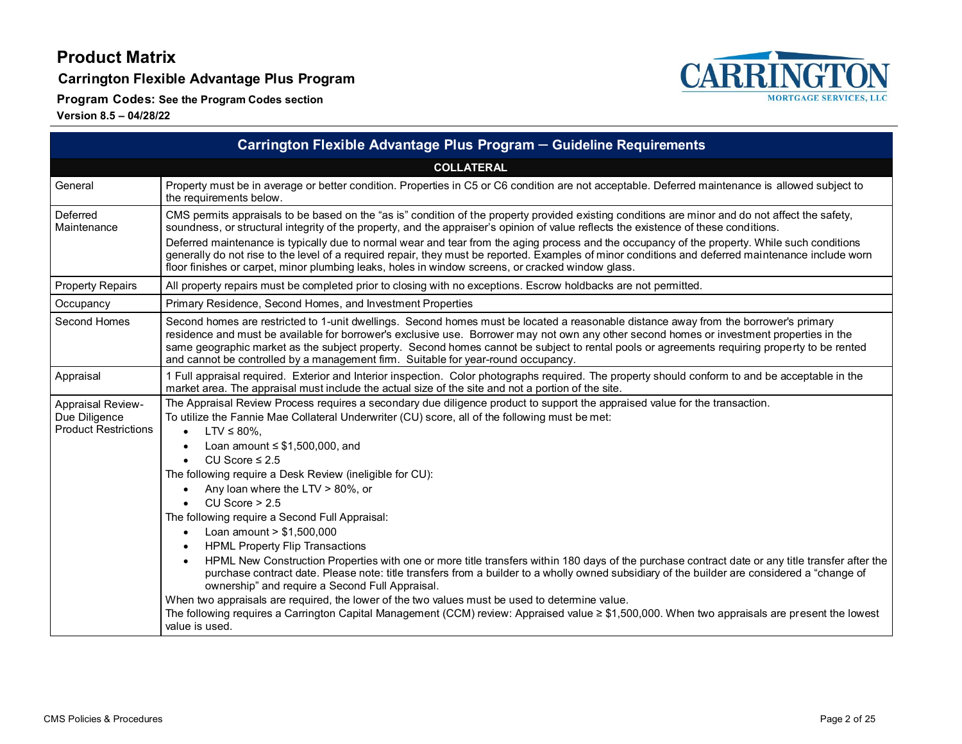**Carrington Flexible Advantage Plus Program**

**Program Codes: See the Program Codes section**



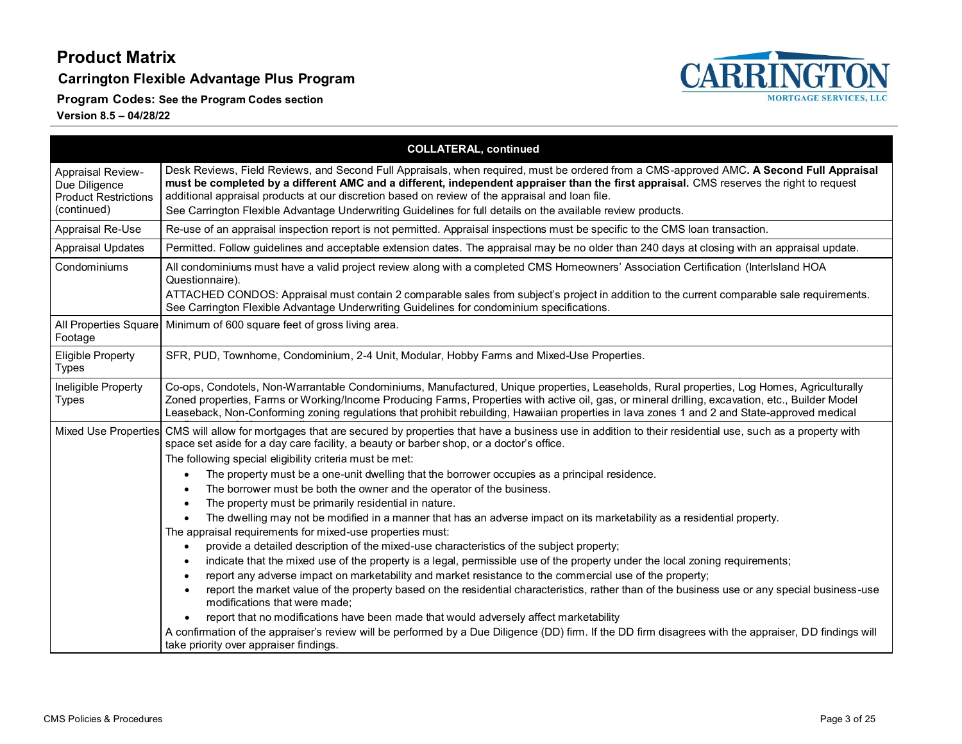**Carrington Flexible Advantage Plus Program**

**Program Codes: See the Program Codes section**



|                                                                                         | <b>COLLATERAL, continued</b>                                                                                                                                                                                                                                                                                                                                                                                                                                                                                                                                                                                                                                                                                                                                                                                                                                                                                                                                                                                                                                                                                                                                                                                                                                                                                                                                                                                                                                                                                                                                                   |  |  |
|-----------------------------------------------------------------------------------------|--------------------------------------------------------------------------------------------------------------------------------------------------------------------------------------------------------------------------------------------------------------------------------------------------------------------------------------------------------------------------------------------------------------------------------------------------------------------------------------------------------------------------------------------------------------------------------------------------------------------------------------------------------------------------------------------------------------------------------------------------------------------------------------------------------------------------------------------------------------------------------------------------------------------------------------------------------------------------------------------------------------------------------------------------------------------------------------------------------------------------------------------------------------------------------------------------------------------------------------------------------------------------------------------------------------------------------------------------------------------------------------------------------------------------------------------------------------------------------------------------------------------------------------------------------------------------------|--|--|
| <b>Appraisal Review-</b><br>Due Diligence<br><b>Product Restrictions</b><br>(continued) | Desk Reviews, Field Reviews, and Second Full Appraisals, when required, must be ordered from a CMS-approved AMC. A Second Full Appraisal<br>must be completed by a different AMC and a different, independent appraiser than the first appraisal. CMS reserves the right to request<br>additional appraisal products at our discretion based on review of the appraisal and loan file.<br>See Carrington Flexible Advantage Underwriting Guidelines for full details on the available review products.                                                                                                                                                                                                                                                                                                                                                                                                                                                                                                                                                                                                                                                                                                                                                                                                                                                                                                                                                                                                                                                                         |  |  |
| Appraisal Re-Use                                                                        | Re-use of an appraisal inspection report is not permitted. Appraisal inspections must be specific to the CMS loan transaction.                                                                                                                                                                                                                                                                                                                                                                                                                                                                                                                                                                                                                                                                                                                                                                                                                                                                                                                                                                                                                                                                                                                                                                                                                                                                                                                                                                                                                                                 |  |  |
| <b>Appraisal Updates</b>                                                                | Permitted. Follow guidelines and acceptable extension dates. The appraisal may be no older than 240 days at closing with an appraisal update.                                                                                                                                                                                                                                                                                                                                                                                                                                                                                                                                                                                                                                                                                                                                                                                                                                                                                                                                                                                                                                                                                                                                                                                                                                                                                                                                                                                                                                  |  |  |
| Condominiums                                                                            | All condominiums must have a valid project review along with a completed CMS Homeowners' Association Certification (Interlsland HOA<br>Questionnaire).<br>ATTACHED CONDOS: Appraisal must contain 2 comparable sales from subject's project in addition to the current comparable sale requirements.<br>See Carrington Flexible Advantage Underwriting Guidelines for condominium specifications.                                                                                                                                                                                                                                                                                                                                                                                                                                                                                                                                                                                                                                                                                                                                                                                                                                                                                                                                                                                                                                                                                                                                                                              |  |  |
| Footage                                                                                 | All Properties Square Minimum of 600 square feet of gross living area.                                                                                                                                                                                                                                                                                                                                                                                                                                                                                                                                                                                                                                                                                                                                                                                                                                                                                                                                                                                                                                                                                                                                                                                                                                                                                                                                                                                                                                                                                                         |  |  |
| <b>Eligible Property</b><br><b>Types</b>                                                | SFR, PUD, Townhome, Condominium, 2-4 Unit, Modular, Hobby Farms and Mixed-Use Properties.                                                                                                                                                                                                                                                                                                                                                                                                                                                                                                                                                                                                                                                                                                                                                                                                                                                                                                                                                                                                                                                                                                                                                                                                                                                                                                                                                                                                                                                                                      |  |  |
| Ineligible Property<br><b>Types</b>                                                     | Co-ops, Condotels, Non-Warrantable Condominiums, Manufactured, Unique properties, Leaseholds, Rural properties, Log Homes, Agriculturally<br>Zoned properties, Farms or Working/Income Producing Farms, Properties with active oil, gas, or mineral drilling, excavation, etc., Builder Model<br>Leaseback, Non-Conforming zoning regulations that prohibit rebuilding, Hawaiian properties in lava zones 1 and 2 and State-approved medical                                                                                                                                                                                                                                                                                                                                                                                                                                                                                                                                                                                                                                                                                                                                                                                                                                                                                                                                                                                                                                                                                                                                   |  |  |
|                                                                                         | Mixed Use Properties CMS will allow for mortgages that are secured by properties that have a business use in addition to their residential use, such as a property with<br>space set aside for a day care facility, a beauty or barber shop, or a doctor's office.<br>The following special eligibility criteria must be met:<br>The property must be a one-unit dwelling that the borrower occupies as a principal residence.<br>The borrower must be both the owner and the operator of the business.<br>The property must be primarily residential in nature.<br>The dwelling may not be modified in a manner that has an adverse impact on its marketability as a residential property.<br>The appraisal requirements for mixed-use properties must:<br>provide a detailed description of the mixed-use characteristics of the subject property;<br>indicate that the mixed use of the property is a legal, permissible use of the property under the local zoning requirements;<br>report any adverse impact on marketability and market resistance to the commercial use of the property;<br>report the market value of the property based on the residential characteristics, rather than of the business use or any special business-use<br>modifications that were made;<br>report that no modifications have been made that would adversely affect marketability<br>A confirmation of the appraiser's review will be performed by a Due Diligence (DD) firm. If the DD firm disagrees with the appraiser, DD findings will<br>take priority over appraiser findings. |  |  |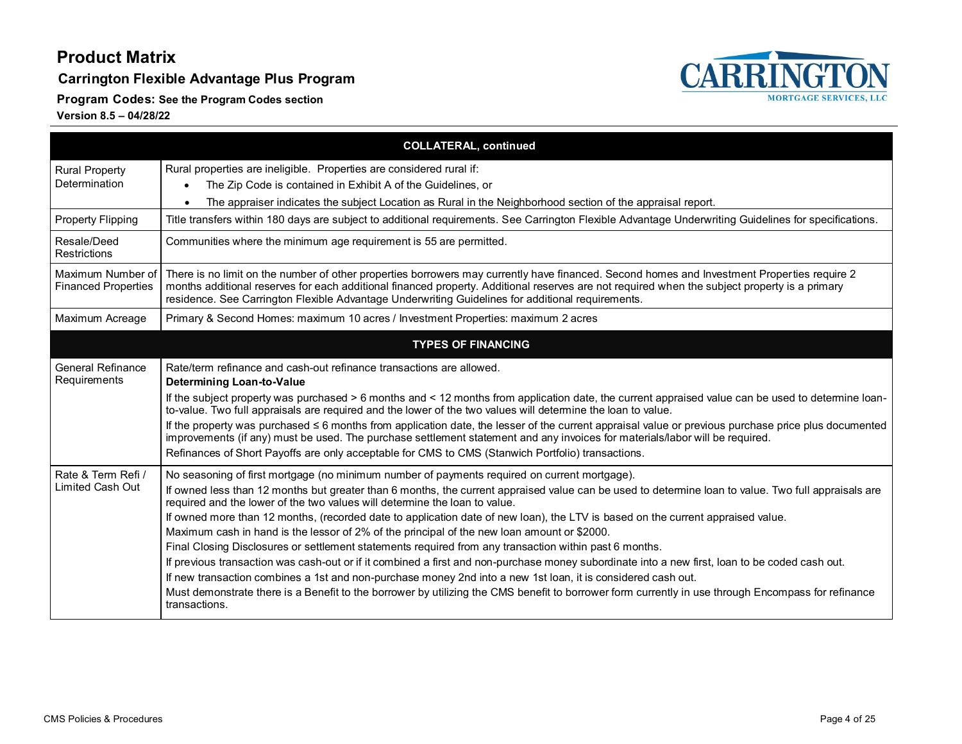**Carrington Flexible Advantage Plus Program**



**Program Codes: See the Program Codes section**

|                                                 | <b>COLLATERAL, continued</b>                                                                                                                                                                                                                                                                                                                                                                                                                                                                                                                                                                                                                                                                                                                                                                                                                                                                                                                                                                                                                                                                                           |
|-------------------------------------------------|------------------------------------------------------------------------------------------------------------------------------------------------------------------------------------------------------------------------------------------------------------------------------------------------------------------------------------------------------------------------------------------------------------------------------------------------------------------------------------------------------------------------------------------------------------------------------------------------------------------------------------------------------------------------------------------------------------------------------------------------------------------------------------------------------------------------------------------------------------------------------------------------------------------------------------------------------------------------------------------------------------------------------------------------------------------------------------------------------------------------|
| <b>Rural Property</b><br>Determination          | Rural properties are ineligible. Properties are considered rural if:<br>The Zip Code is contained in Exhibit A of the Guidelines, or<br>The appraiser indicates the subject Location as Rural in the Neighborhood section of the appraisal report.<br>$\bullet$                                                                                                                                                                                                                                                                                                                                                                                                                                                                                                                                                                                                                                                                                                                                                                                                                                                        |
| <b>Property Flipping</b>                        | Title transfers within 180 days are subject to additional requirements. See Carrington Flexible Advantage Underwriting Guidelines for specifications.                                                                                                                                                                                                                                                                                                                                                                                                                                                                                                                                                                                                                                                                                                                                                                                                                                                                                                                                                                  |
| Resale/Deed<br>Restrictions                     | Communities where the minimum age requirement is 55 are permitted.                                                                                                                                                                                                                                                                                                                                                                                                                                                                                                                                                                                                                                                                                                                                                                                                                                                                                                                                                                                                                                                     |
| Maximum Number of<br><b>Financed Properties</b> | There is no limit on the number of other properties borrowers may currently have financed. Second homes and Investment Properties require 2<br>months additional reserves for each additional financed property. Additional reserves are not required when the subject property is a primary<br>residence. See Carrington Flexible Advantage Underwriting Guidelines for additional requirements.                                                                                                                                                                                                                                                                                                                                                                                                                                                                                                                                                                                                                                                                                                                      |
| Maximum Acreage                                 | Primary & Second Homes: maximum 10 acres / Investment Properties: maximum 2 acres                                                                                                                                                                                                                                                                                                                                                                                                                                                                                                                                                                                                                                                                                                                                                                                                                                                                                                                                                                                                                                      |
|                                                 | <b>TYPES OF FINANCING</b>                                                                                                                                                                                                                                                                                                                                                                                                                                                                                                                                                                                                                                                                                                                                                                                                                                                                                                                                                                                                                                                                                              |
| <b>General Refinance</b><br>Requirements        | Rate/term refinance and cash-out refinance transactions are allowed.<br>Determining Loan-to-Value<br>If the subject property was purchased > 6 months and < 12 months from application date, the current appraised value can be used to determine loan-<br>to-value. Two full appraisals are required and the lower of the two values will determine the loan to value.<br>If the property was purchased $\leq 6$ months from application date, the lesser of the current appraisal value or previous purchase price plus documented<br>improvements (if any) must be used. The purchase settlement statement and any invoices for materials/labor will be required.<br>Refinances of Short Payoffs are only acceptable for CMS to CMS (Stanwich Portfolio) transactions.                                                                                                                                                                                                                                                                                                                                              |
| Rate & Term Refi /<br>Limited Cash Out          | No seasoning of first mortgage (no minimum number of payments required on current mortgage).<br>If owned less than 12 months but greater than 6 months, the current appraised value can be used to determine loan to value. Two full appraisals are<br>required and the lower of the two values will determine the loan to value.<br>If owned more than 12 months, (recorded date to application date of new loan), the LTV is based on the current appraised value.<br>Maximum cash in hand is the lessor of 2% of the principal of the new loan amount or \$2000.<br>Final Closing Disclosures or settlement statements required from any transaction within past 6 months.<br>If previous transaction was cash-out or if it combined a first and non-purchase money subordinate into a new first, loan to be coded cash out.<br>If new transaction combines a 1st and non-purchase money 2nd into a new 1st loan, it is considered cash out.<br>Must demonstrate there is a Benefit to the borrower by utilizing the CMS benefit to borrower form currently in use through Encompass for refinance<br>transactions. |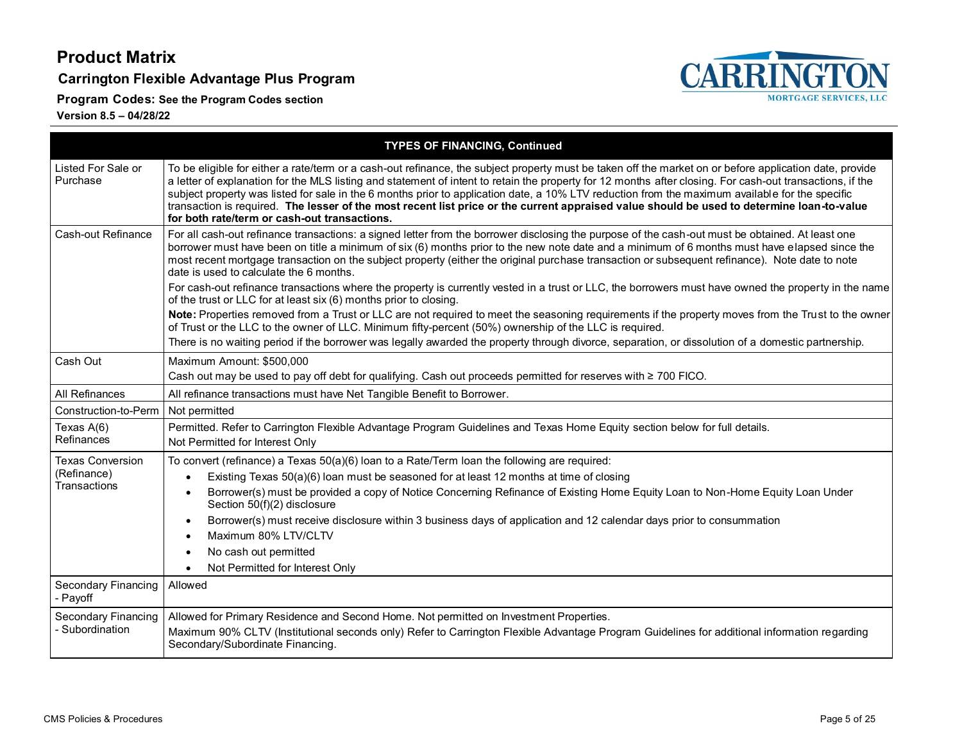**Carrington Flexible Advantage Plus Program**

**Program Codes: See the Program Codes section**



|                                 | <b>TYPES OF FINANCING, Continued</b>                                                                                                                                                                                                                                                                                                                                                                                                                                                                                                                                                                                                                                  |  |  |  |
|---------------------------------|-----------------------------------------------------------------------------------------------------------------------------------------------------------------------------------------------------------------------------------------------------------------------------------------------------------------------------------------------------------------------------------------------------------------------------------------------------------------------------------------------------------------------------------------------------------------------------------------------------------------------------------------------------------------------|--|--|--|
| Listed For Sale or<br>Purchase  | To be eligible for either a rate/term or a cash-out refinance, the subject property must be taken off the market on or before application date, provide<br>a letter of explanation for the MLS listing and statement of intent to retain the property for 12 months after closing. For cash-out transactions, if the<br>subject property was listed for sale in the 6 months prior to application date, a 10% LTV reduction from the maximum available for the specific<br>transaction is required. The lesser of the most recent list price or the current appraised value should be used to determine loan-to-value<br>for both rate/term or cash-out transactions. |  |  |  |
| Cash-out Refinance              | For all cash-out refinance transactions: a signed letter from the borrower disclosing the purpose of the cash-out must be obtained. At least one<br>borrower must have been on title a minimum of six (6) months prior to the new note date and a minimum of 6 months must have elapsed since the<br>most recent mortgage transaction on the subject property (either the original purchase transaction or subsequent refinance). Note date to note<br>date is used to calculate the 6 months.                                                                                                                                                                        |  |  |  |
|                                 | For cash-out refinance transactions where the property is currently vested in a trust or LLC, the borrowers must have owned the property in the name<br>of the trust or LLC for at least six (6) months prior to closing.                                                                                                                                                                                                                                                                                                                                                                                                                                             |  |  |  |
|                                 | Note: Properties removed from a Trust or LLC are not required to meet the seasoning requirements if the property moves from the Trust to the owner<br>of Trust or the LLC to the owner of LLC. Minimum fifty-percent (50%) ownership of the LLC is required.                                                                                                                                                                                                                                                                                                                                                                                                          |  |  |  |
|                                 | There is no waiting period if the borrower was legally awarded the property through divorce, separation, or dissolution of a domestic partnership.                                                                                                                                                                                                                                                                                                                                                                                                                                                                                                                    |  |  |  |
| Cash Out                        | Maximum Amount: \$500,000<br>Cash out may be used to pay off debt for qualifying. Cash out proceeds permitted for reserves with ≥ 700 FICO.                                                                                                                                                                                                                                                                                                                                                                                                                                                                                                                           |  |  |  |
| All Refinances                  | All refinance transactions must have Net Tangible Benefit to Borrower.                                                                                                                                                                                                                                                                                                                                                                                                                                                                                                                                                                                                |  |  |  |
| Construction-to-Perm            | Not permitted                                                                                                                                                                                                                                                                                                                                                                                                                                                                                                                                                                                                                                                         |  |  |  |
| Texas A(6)<br>Refinances        | Permitted. Refer to Carrington Flexible Advantage Program Guidelines and Texas Home Equity section below for full details.<br>Not Permitted for Interest Only                                                                                                                                                                                                                                                                                                                                                                                                                                                                                                         |  |  |  |
| <b>Texas Conversion</b>         | To convert (refinance) a Texas 50(a)(6) loan to a Rate/Term loan the following are required:                                                                                                                                                                                                                                                                                                                                                                                                                                                                                                                                                                          |  |  |  |
| (Refinance)                     | Existing Texas 50(a)(6) loan must be seasoned for at least 12 months at time of closing                                                                                                                                                                                                                                                                                                                                                                                                                                                                                                                                                                               |  |  |  |
| Transactions                    | Borrower(s) must be provided a copy of Notice Concerning Refinance of Existing Home Equity Loan to Non-Home Equity Loan Under<br>Section 50(f)(2) disclosure                                                                                                                                                                                                                                                                                                                                                                                                                                                                                                          |  |  |  |
|                                 | Borrower(s) must receive disclosure within 3 business days of application and 12 calendar days prior to consummation                                                                                                                                                                                                                                                                                                                                                                                                                                                                                                                                                  |  |  |  |
|                                 | Maximum 80% LTV/CLTV                                                                                                                                                                                                                                                                                                                                                                                                                                                                                                                                                                                                                                                  |  |  |  |
|                                 | No cash out permitted                                                                                                                                                                                                                                                                                                                                                                                                                                                                                                                                                                                                                                                 |  |  |  |
|                                 | Not Permitted for Interest Only<br>$\bullet$                                                                                                                                                                                                                                                                                                                                                                                                                                                                                                                                                                                                                          |  |  |  |
| Secondary Financing<br>- Payoff | Allowed                                                                                                                                                                                                                                                                                                                                                                                                                                                                                                                                                                                                                                                               |  |  |  |
| <b>Secondary Financing</b>      | Allowed for Primary Residence and Second Home. Not permitted on Investment Properties.                                                                                                                                                                                                                                                                                                                                                                                                                                                                                                                                                                                |  |  |  |
| <b>Subordination</b>            | Maximum 90% CLTV (Institutional seconds only) Refer to Carrington Flexible Advantage Program Guidelines for additional information regarding<br>Secondary/Subordinate Financing.                                                                                                                                                                                                                                                                                                                                                                                                                                                                                      |  |  |  |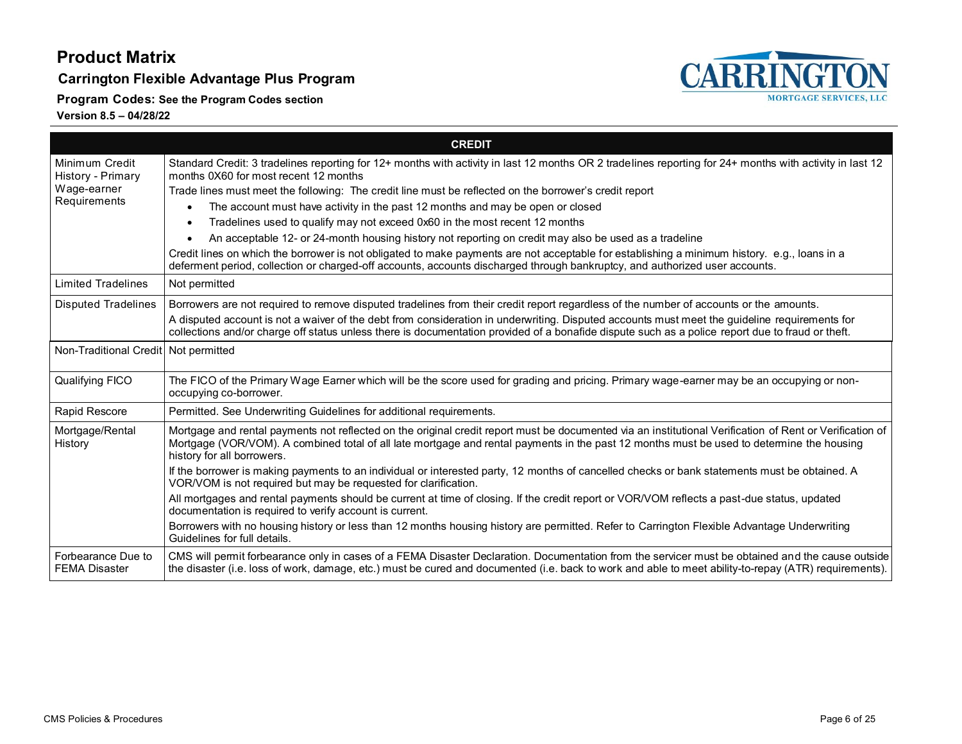#### **Carrington Flexible Advantage Plus Program**

**Program Codes: See the Program Codes section**



|                                            | <b>CREDIT</b>                                                                                                                                                                                                                                                                                                                       |
|--------------------------------------------|-------------------------------------------------------------------------------------------------------------------------------------------------------------------------------------------------------------------------------------------------------------------------------------------------------------------------------------|
| Minimum Credit<br>History - Primary        | Standard Credit: 3 tradelines reporting for 12+ months with activity in last 12 months OR 2 tradelines reporting for 24+ months with activity in last 12<br>months 0X60 for most recent 12 months                                                                                                                                   |
| Wage-earner                                | Trade lines must meet the following: The credit line must be reflected on the borrower's credit report                                                                                                                                                                                                                              |
| Requirements                               | The account must have activity in the past 12 months and may be open or closed<br>$\bullet$                                                                                                                                                                                                                                         |
|                                            | Tradelines used to qualify may not exceed 0x60 in the most recent 12 months<br>$\bullet$                                                                                                                                                                                                                                            |
|                                            | An acceptable 12- or 24-month housing history not reporting on credit may also be used as a tradeline<br>$\bullet$                                                                                                                                                                                                                  |
|                                            | Credit lines on which the borrower is not obligated to make payments are not acceptable for establishing a minimum history. e.g., loans in a<br>deferment period, collection or charged-off accounts, accounts discharged through bankruptcy, and authorized user accounts.                                                         |
| <b>Limited Tradelines</b>                  | Not permitted                                                                                                                                                                                                                                                                                                                       |
| <b>Disputed Tradelines</b>                 | Borrowers are not required to remove disputed tradelines from their credit report regardless of the number of accounts or the amounts.                                                                                                                                                                                              |
|                                            | A disputed account is not a waiver of the debt from consideration in underwriting. Disputed accounts must meet the guideline requirements for<br>collections and/or charge off status unless there is documentation provided of a bonafide dispute such as a police report due to fraud or theft.                                   |
| Non-Traditional Credit Not permitted       |                                                                                                                                                                                                                                                                                                                                     |
| Qualifying FICO                            | The FICO of the Primary Wage Earner which will be the score used for grading and pricing. Primary wage-earner may be an occupying or non-<br>occupying co-borrower.                                                                                                                                                                 |
| Rapid Rescore                              | Permitted. See Underwriting Guidelines for additional requirements.                                                                                                                                                                                                                                                                 |
| Mortgage/Rental<br>History                 | Mortgage and rental payments not reflected on the original credit report must be documented via an institutional Verification of Rent or Verification of<br>Mortgage (VOR/VOM). A combined total of all late mortgage and rental payments in the past 12 months must be used to determine the housing<br>history for all borrowers. |
|                                            | If the borrower is making payments to an individual or interested party, 12 months of cancelled checks or bank statements must be obtained. A<br>VOR/VOM is not required but may be requested for clarification.                                                                                                                    |
|                                            | All mortgages and rental payments should be current at time of closing. If the credit report or VOR/VOM reflects a past-due status, updated<br>documentation is required to verify account is current.                                                                                                                              |
|                                            | Borrowers with no housing history or less than 12 months housing history are permitted. Refer to Carrington Flexible Advantage Underwriting<br>Guidelines for full details.                                                                                                                                                         |
| Forbearance Due to<br><b>FEMA Disaster</b> | CMS will permit forbearance only in cases of a FEMA Disaster Declaration. Documentation from the servicer must be obtained and the cause outside<br>the disaster (i.e. loss of work, damage, etc.) must be cured and documented (i.e. back to work and able to meet ability-to-repay (ATR) requirements).                           |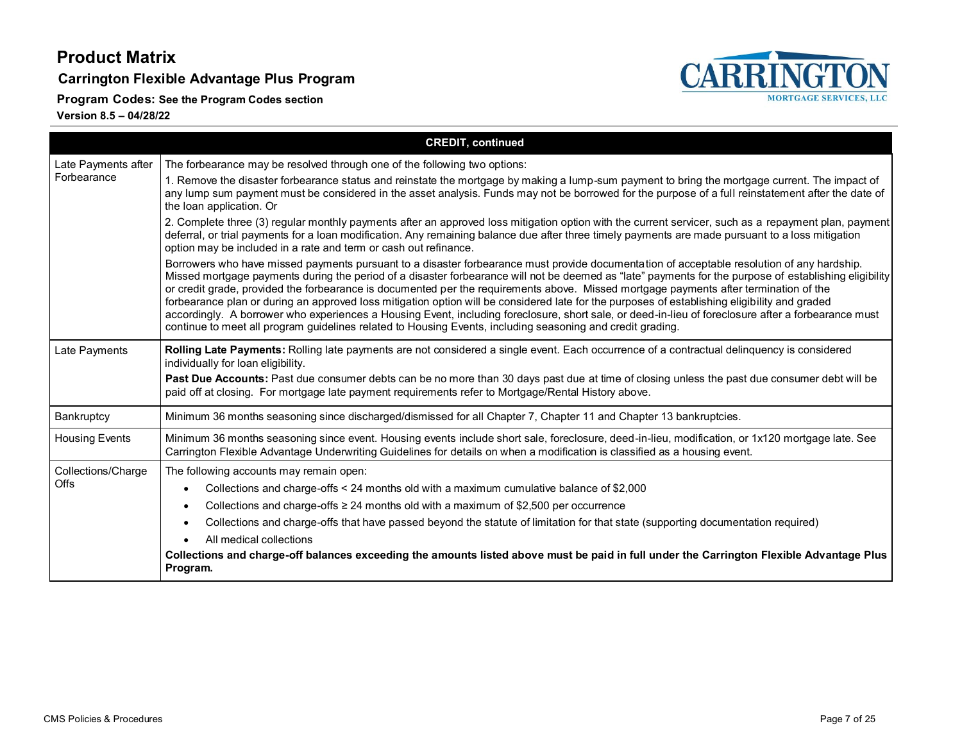**Carrington Flexible Advantage Plus Program**

**CARRI NGTON MORTGAGE SERVICES, LLC** 

**Program Codes: See the Program Codes section**

|                                    | <b>CREDIT, continued</b>                                                                                                                                                                                                                                                                                                                                                                                                                                                                                                                                                                                                                                                                                                                                                                                                                                            |  |  |  |
|------------------------------------|---------------------------------------------------------------------------------------------------------------------------------------------------------------------------------------------------------------------------------------------------------------------------------------------------------------------------------------------------------------------------------------------------------------------------------------------------------------------------------------------------------------------------------------------------------------------------------------------------------------------------------------------------------------------------------------------------------------------------------------------------------------------------------------------------------------------------------------------------------------------|--|--|--|
| Late Payments after<br>Forbearance | The forbearance may be resolved through one of the following two options:                                                                                                                                                                                                                                                                                                                                                                                                                                                                                                                                                                                                                                                                                                                                                                                           |  |  |  |
|                                    | 1. Remove the disaster forbearance status and reinstate the mortgage by making a lump-sum payment to bring the mortgage current. The impact of<br>any lump sum payment must be considered in the asset analysis. Funds may not be borrowed for the purpose of a full reinstatement after the date of<br>the loan application. Or                                                                                                                                                                                                                                                                                                                                                                                                                                                                                                                                    |  |  |  |
|                                    | 2. Complete three (3) regular monthly payments after an approved loss mitigation option with the current servicer, such as a repayment plan, payment<br>deferral, or trial payments for a loan modification. Any remaining balance due after three timely payments are made pursuant to a loss mitigation<br>option may be included in a rate and term or cash out refinance.                                                                                                                                                                                                                                                                                                                                                                                                                                                                                       |  |  |  |
|                                    | Borrowers who have missed payments pursuant to a disaster forbearance must provide documentation of acceptable resolution of any hardship.<br>Missed mortgage payments during the period of a disaster forbearance will not be deemed as "late" payments for the purpose of establishing eligibility<br>or credit grade, provided the forbearance is documented per the requirements above. Missed mortgage payments after termination of the<br>forbearance plan or during an approved loss mitigation option will be considered late for the purposes of establishing eligibility and graded<br>accordingly. A borrower who experiences a Housing Event, including foreclosure, short sale, or deed-in-lieu of foreclosure after a forbearance must<br>continue to meet all program guidelines related to Housing Events, including seasoning and credit grading. |  |  |  |
| Late Payments                      | Rolling Late Payments: Rolling late payments are not considered a single event. Each occurrence of a contractual delinquency is considered<br>individually for loan eligibility.                                                                                                                                                                                                                                                                                                                                                                                                                                                                                                                                                                                                                                                                                    |  |  |  |
|                                    | Past Due Accounts: Past due consumer debts can be no more than 30 days past due at time of closing unless the past due consumer debt will be<br>paid off at closing. For mortgage late payment requirements refer to Mortgage/Rental History above.                                                                                                                                                                                                                                                                                                                                                                                                                                                                                                                                                                                                                 |  |  |  |
| Bankruptcy                         | Minimum 36 months seasoning since discharged/dismissed for all Chapter 7, Chapter 11 and Chapter 13 bankruptcies.                                                                                                                                                                                                                                                                                                                                                                                                                                                                                                                                                                                                                                                                                                                                                   |  |  |  |
| <b>Housing Events</b>              | Minimum 36 months seasoning since event. Housing events include short sale, foreclosure, deed-in-lieu, modification, or 1x120 mortgage late. See<br>Carrington Flexible Advantage Underwriting Guidelines for details on when a modification is classified as a housing event.                                                                                                                                                                                                                                                                                                                                                                                                                                                                                                                                                                                      |  |  |  |
| Collections/Charge<br>Offs         | The following accounts may remain open:                                                                                                                                                                                                                                                                                                                                                                                                                                                                                                                                                                                                                                                                                                                                                                                                                             |  |  |  |
|                                    | Collections and charge-offs < 24 months old with a maximum cumulative balance of \$2,000<br>$\bullet$                                                                                                                                                                                                                                                                                                                                                                                                                                                                                                                                                                                                                                                                                                                                                               |  |  |  |
|                                    | Collections and charge-offs $\geq 24$ months old with a maximum of \$2,500 per occurrence<br>$\bullet$                                                                                                                                                                                                                                                                                                                                                                                                                                                                                                                                                                                                                                                                                                                                                              |  |  |  |
|                                    | Collections and charge-offs that have passed beyond the statute of limitation for that state (supporting documentation required)<br>$\bullet$                                                                                                                                                                                                                                                                                                                                                                                                                                                                                                                                                                                                                                                                                                                       |  |  |  |
|                                    | All medical collections<br>$\bullet$                                                                                                                                                                                                                                                                                                                                                                                                                                                                                                                                                                                                                                                                                                                                                                                                                                |  |  |  |
|                                    | Collections and charge-off balances exceeding the amounts listed above must be paid in full under the Carrington Flexible Advantage Plus<br>Program.                                                                                                                                                                                                                                                                                                                                                                                                                                                                                                                                                                                                                                                                                                                |  |  |  |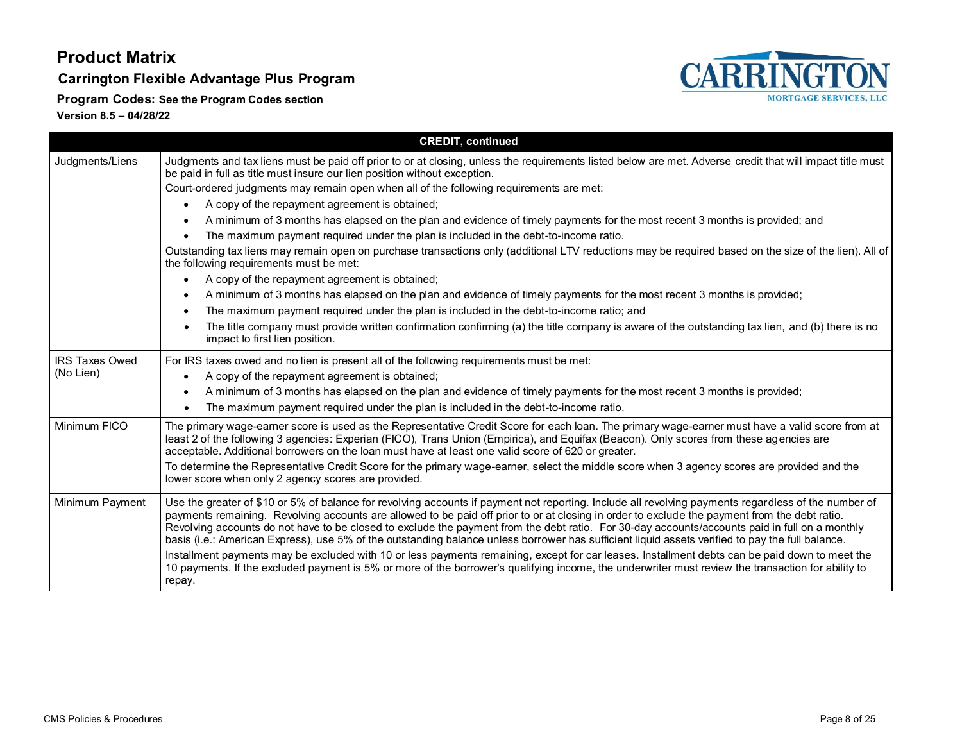**Carrington Flexible Advantage Plus Program**



**Program Codes: See the Program Codes section**

|                       | <b>CREDIT, continued</b>                                                                                                                                                                                                                                                                                                                                                                                                                                                                                                                                                                                    |
|-----------------------|-------------------------------------------------------------------------------------------------------------------------------------------------------------------------------------------------------------------------------------------------------------------------------------------------------------------------------------------------------------------------------------------------------------------------------------------------------------------------------------------------------------------------------------------------------------------------------------------------------------|
| Judgments/Liens       | Judgments and tax liens must be paid off prior to or at closing, unless the requirements listed below are met. Adverse credit that will impact title must<br>be paid in full as title must insure our lien position without exception.                                                                                                                                                                                                                                                                                                                                                                      |
|                       | Court-ordered judgments may remain open when all of the following requirements are met:                                                                                                                                                                                                                                                                                                                                                                                                                                                                                                                     |
|                       | A copy of the repayment agreement is obtained;                                                                                                                                                                                                                                                                                                                                                                                                                                                                                                                                                              |
|                       | A minimum of 3 months has elapsed on the plan and evidence of timely payments for the most recent 3 months is provided; and                                                                                                                                                                                                                                                                                                                                                                                                                                                                                 |
|                       | The maximum payment required under the plan is included in the debt-to-income ratio.                                                                                                                                                                                                                                                                                                                                                                                                                                                                                                                        |
|                       | Outstanding tax liens may remain open on purchase transactions only (additional LTV reductions may be required based on the size of the lien). All of<br>the following requirements must be met:                                                                                                                                                                                                                                                                                                                                                                                                            |
|                       | A copy of the repayment agreement is obtained;<br>$\bullet$                                                                                                                                                                                                                                                                                                                                                                                                                                                                                                                                                 |
|                       | A minimum of 3 months has elapsed on the plan and evidence of timely payments for the most recent 3 months is provided;                                                                                                                                                                                                                                                                                                                                                                                                                                                                                     |
|                       | The maximum payment required under the plan is included in the debt-to-income ratio; and                                                                                                                                                                                                                                                                                                                                                                                                                                                                                                                    |
|                       | The title company must provide written confirmation confirming (a) the title company is aware of the outstanding tax lien, and (b) there is no<br>$\bullet$<br>impact to first lien position.                                                                                                                                                                                                                                                                                                                                                                                                               |
| <b>IRS Taxes Owed</b> | For IRS taxes owed and no lien is present all of the following requirements must be met:                                                                                                                                                                                                                                                                                                                                                                                                                                                                                                                    |
| (No Lien)             | A copy of the repayment agreement is obtained;<br>$\bullet$                                                                                                                                                                                                                                                                                                                                                                                                                                                                                                                                                 |
|                       | A minimum of 3 months has elapsed on the plan and evidence of timely payments for the most recent 3 months is provided;<br>٠                                                                                                                                                                                                                                                                                                                                                                                                                                                                                |
|                       | The maximum payment required under the plan is included in the debt-to-income ratio.                                                                                                                                                                                                                                                                                                                                                                                                                                                                                                                        |
| Minimum FICO          | The primary wage-earner score is used as the Representative Credit Score for each loan. The primary wage-earner must have a valid score from at<br>least 2 of the following 3 agencies: Experian (FICO), Trans Union (Empirica), and Equifax (Beacon). Only scores from these agencies are<br>acceptable. Additional borrowers on the loan must have at least one valid score of 620 or greater.                                                                                                                                                                                                            |
|                       | To determine the Representative Credit Score for the primary wage-earner, select the middle score when 3 agency scores are provided and the<br>lower score when only 2 agency scores are provided.                                                                                                                                                                                                                                                                                                                                                                                                          |
| Minimum Payment       | Use the greater of \$10 or 5% of balance for revolving accounts if payment not reporting. Include all revolving payments regardless of the number of<br>payments remaining. Revolving accounts are allowed to be paid off prior to or at closing in order to exclude the payment from the debt ratio.<br>Revolving accounts do not have to be closed to exclude the payment from the debt ratio. For 30-day accounts/accounts paid in full on a monthly<br>basis (i.e.: American Express), use 5% of the outstanding balance unless borrower has sufficient liquid assets verified to pay the full balance. |
|                       | Installment payments may be excluded with 10 or less payments remaining, except for car leases. Installment debts can be paid down to meet the<br>10 payments. If the excluded payment is 5% or more of the borrower's qualifying income, the underwriter must review the transaction for ability to<br>repay.                                                                                                                                                                                                                                                                                              |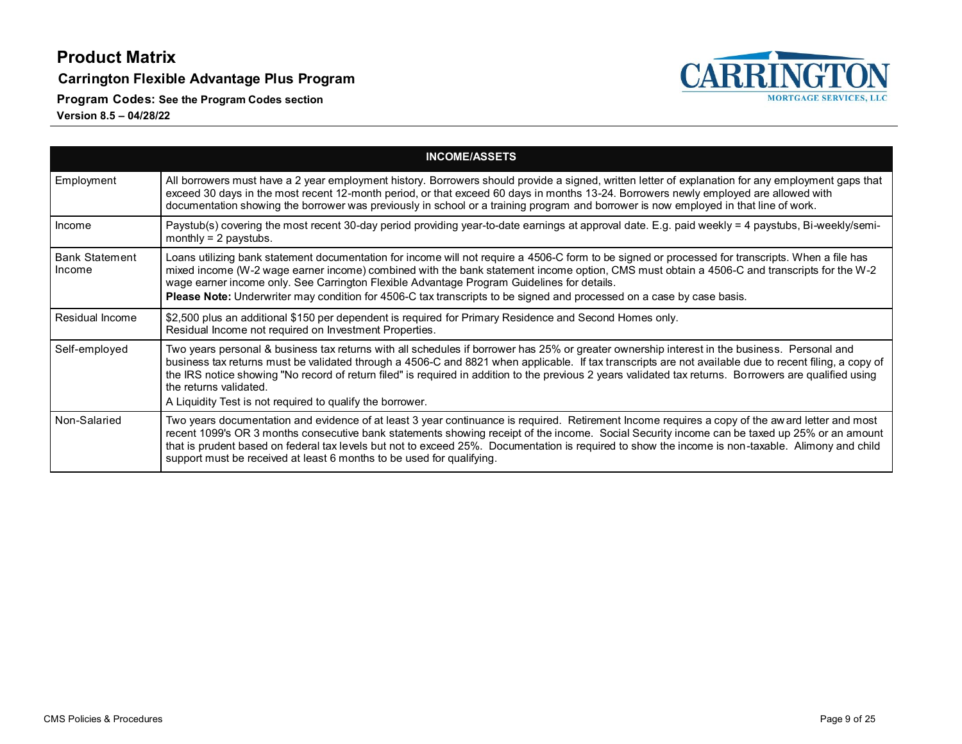**Carrington Flexible Advantage Plus Program**

**Program Codes: See the Program Codes section**



|                                 | <b>INCOME/ASSETS</b>                                                                                                                                                                                                                                                                                                                                                                                                                                                                                                                                     |
|---------------------------------|----------------------------------------------------------------------------------------------------------------------------------------------------------------------------------------------------------------------------------------------------------------------------------------------------------------------------------------------------------------------------------------------------------------------------------------------------------------------------------------------------------------------------------------------------------|
| Employment                      | All borrowers must have a 2 year employment history. Borrowers should provide a signed, written letter of explanation for any employment gaps that<br>exceed 30 days in the most recent 12-month period, or that exceed 60 days in months 13-24. Borrowers newly employed are allowed with<br>documentation showing the borrower was previously in school or a training program and borrower is now employed in that line of work.                                                                                                                       |
| Income                          | Paystub(s) covering the most recent 30-day period providing year-to-date earnings at approval date. E.g. paid weekly = 4 paystubs, Bi-weekly/semi-<br>monthly $= 2$ paystubs.                                                                                                                                                                                                                                                                                                                                                                            |
| <b>Bank Statement</b><br>Income | Loans utilizing bank statement documentation for income will not require a 4506-C form to be signed or processed for transcripts. When a file has<br>mixed income (W-2 wage earner income) combined with the bank statement income option, CMS must obtain a 4506-C and transcripts for the W-2<br>wage earner income only. See Carrington Flexible Advantage Program Guidelines for details.<br>Please Note: Underwriter may condition for 4506-C tax transcripts to be signed and processed on a case by case basis.                                   |
| Residual Income                 | \$2,500 plus an additional \$150 per dependent is required for Primary Residence and Second Homes only.<br>Residual Income not required on Investment Properties.                                                                                                                                                                                                                                                                                                                                                                                        |
| Self-employed                   | Two years personal & business tax returns with all schedules if borrower has 25% or greater ownership interest in the business. Personal and<br>business tax returns must be validated through a 4506-C and 8821 when applicable. If tax transcripts are not available due to recent filing, a copy of<br>the IRS notice showing "No record of return filed" is required in addition to the previous 2 years validated tax returns. Borrowers are qualified using<br>the returns validated.<br>A Liquidity Test is not required to qualify the borrower. |
| Non-Salaried                    | Two years documentation and evidence of at least 3 year continuance is required. Retirement Income requires a copy of the award letter and most<br>recent 1099's OR 3 months consecutive bank statements showing receipt of the income. Social Security income can be taxed up 25% or an amount<br>that is prudent based on federal tax levels but not to exceed 25%. Documentation is required to show the income is non-taxable. Alimony and child<br>support must be received at least 6 months to be used for qualifying.                            |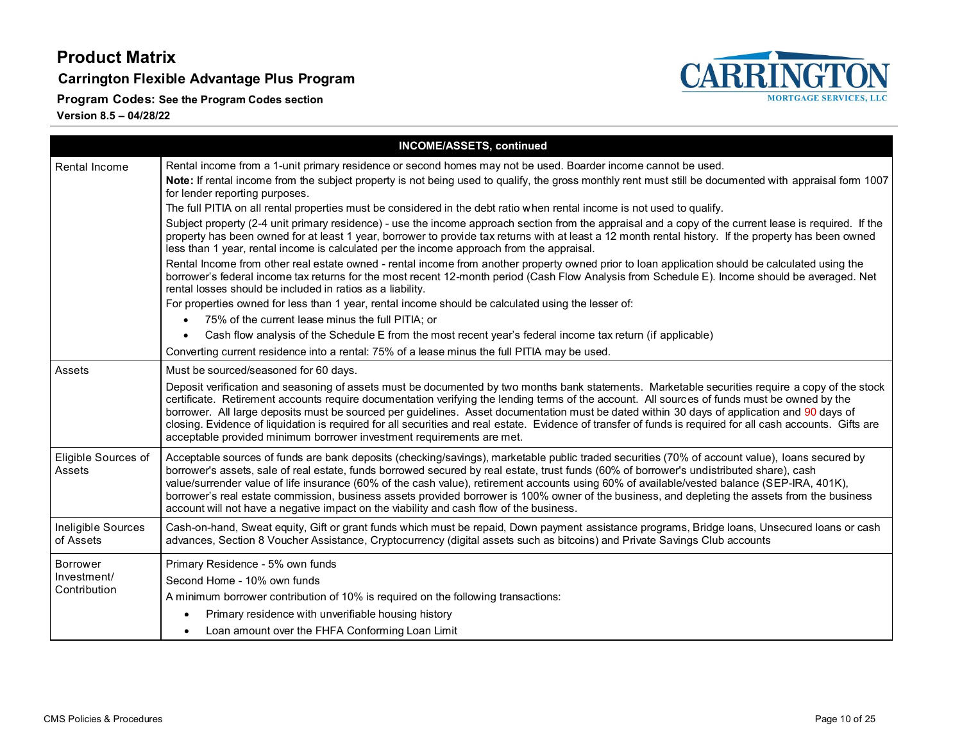**Carrington Flexible Advantage Plus Program**

**Program Codes: See the Program Codes section**



|                                         | <b>INCOME/ASSETS, continued</b>                                                                                                                                                                                                                                                                                                                                                                                                                                                                                                                                                                                                                                                         |
|-----------------------------------------|-----------------------------------------------------------------------------------------------------------------------------------------------------------------------------------------------------------------------------------------------------------------------------------------------------------------------------------------------------------------------------------------------------------------------------------------------------------------------------------------------------------------------------------------------------------------------------------------------------------------------------------------------------------------------------------------|
| <b>Rental Income</b>                    | Rental income from a 1-unit primary residence or second homes may not be used. Boarder income cannot be used.                                                                                                                                                                                                                                                                                                                                                                                                                                                                                                                                                                           |
|                                         | Note: If rental income from the subject property is not being used to qualify, the gross monthly rent must still be documented with appraisal form 1007<br>for lender reporting purposes.                                                                                                                                                                                                                                                                                                                                                                                                                                                                                               |
|                                         | The full PITIA on all rental properties must be considered in the debt ratio when rental income is not used to qualify.                                                                                                                                                                                                                                                                                                                                                                                                                                                                                                                                                                 |
|                                         | Subject property (2-4 unit primary residence) - use the income approach section from the appraisal and a copy of the current lease is required. If the<br>property has been owned for at least 1 year, borrower to provide tax returns with at least a 12 month rental history. If the property has been owned<br>less than 1 year, rental income is calculated per the income approach from the appraisal.                                                                                                                                                                                                                                                                             |
|                                         | Rental Income from other real estate owned - rental income from another property owned prior to loan application should be calculated using the<br>borrower's federal income tax returns for the most recent 12-month period (Cash Flow Analysis from Schedule E). Income should be averaged. Net<br>rental losses should be included in ratios as a liability.                                                                                                                                                                                                                                                                                                                         |
|                                         | For properties owned for less than 1 year, rental income should be calculated using the lesser of:                                                                                                                                                                                                                                                                                                                                                                                                                                                                                                                                                                                      |
|                                         | 75% of the current lease minus the full PITIA; or                                                                                                                                                                                                                                                                                                                                                                                                                                                                                                                                                                                                                                       |
|                                         | Cash flow analysis of the Schedule E from the most recent year's federal income tax return (if applicable)                                                                                                                                                                                                                                                                                                                                                                                                                                                                                                                                                                              |
|                                         | Converting current residence into a rental: 75% of a lease minus the full PITIA may be used.                                                                                                                                                                                                                                                                                                                                                                                                                                                                                                                                                                                            |
| Assets                                  | Must be sourced/seasoned for 60 days.                                                                                                                                                                                                                                                                                                                                                                                                                                                                                                                                                                                                                                                   |
|                                         | Deposit verification and seasoning of assets must be documented by two months bank statements. Marketable securities require a copy of the stock<br>certificate. Retirement accounts require documentation verifying the lending terms of the account. All sources of funds must be owned by the<br>borrower. All large deposits must be sourced per guidelines. Asset documentation must be dated within 30 days of application and 90 days of<br>closing. Evidence of liquidation is required for all securities and real estate. Evidence of transfer of funds is required for all cash accounts. Gifts are<br>acceptable provided minimum borrower investment requirements are met. |
| Eligible Sources of<br>Assets           | Acceptable sources of funds are bank deposits (checking/savings), marketable public traded securities (70% of account value), loans secured by<br>borrower's assets, sale of real estate, funds borrowed secured by real estate, trust funds (60% of borrower's undistributed share), cash<br>value/surrender value of life insurance (60% of the cash value), retirement accounts using 60% of available/vested balance (SEP-IRA, 401K),<br>borrower's real estate commission, business assets provided borrower is 100% owner of the business, and depleting the assets from the business<br>account will not have a negative impact on the viability and cash flow of the business.  |
| Ineligible Sources<br>of Assets         | Cash-on-hand, Sweat equity, Gift or grant funds which must be repaid, Down payment assistance programs, Bridge loans, Unsecured loans or cash<br>advances, Section 8 Voucher Assistance, Cryptocurrency (digital assets such as bitcoins) and Private Savings Club accounts                                                                                                                                                                                                                                                                                                                                                                                                             |
| Borrower<br>Investment/<br>Contribution | Primary Residence - 5% own funds                                                                                                                                                                                                                                                                                                                                                                                                                                                                                                                                                                                                                                                        |
|                                         | Second Home - 10% own funds                                                                                                                                                                                                                                                                                                                                                                                                                                                                                                                                                                                                                                                             |
|                                         | A minimum borrower contribution of 10% is required on the following transactions:                                                                                                                                                                                                                                                                                                                                                                                                                                                                                                                                                                                                       |
|                                         | Primary residence with unverifiable housing history                                                                                                                                                                                                                                                                                                                                                                                                                                                                                                                                                                                                                                     |
|                                         | Loan amount over the FHFA Conforming Loan Limit                                                                                                                                                                                                                                                                                                                                                                                                                                                                                                                                                                                                                                         |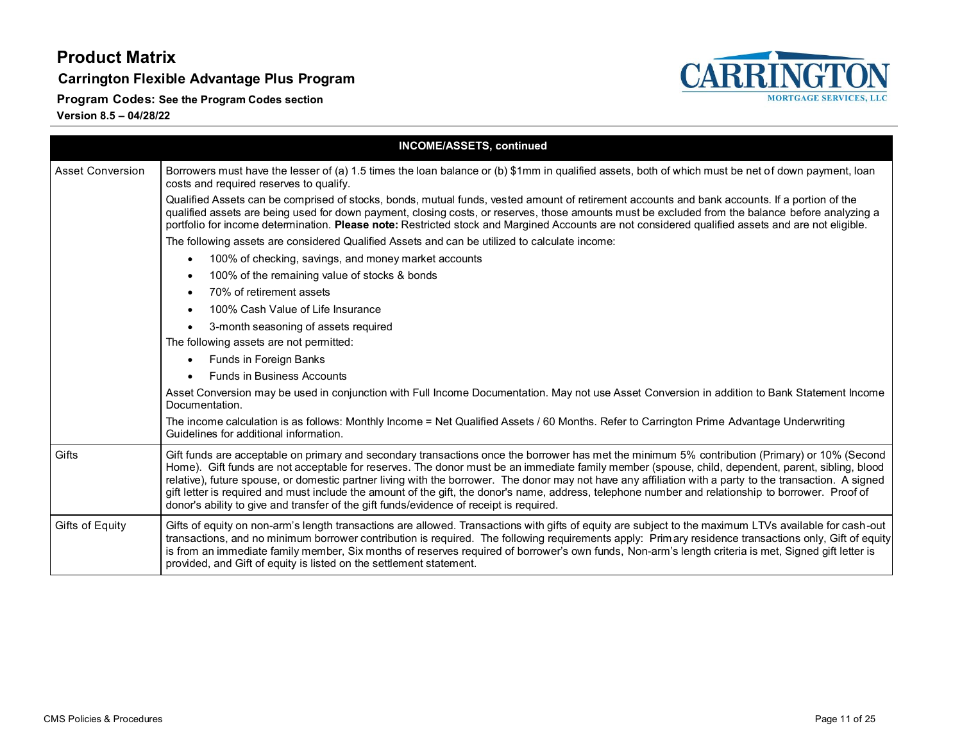**Carrington Flexible Advantage Plus Program**

**Program Codes: See the Program Codes section**



|                         | <b>INCOME/ASSETS, continued</b>                                                                                                                                                                                                                                                                                                                                                                                                                                                                                                                                                                                                                                                                                   |
|-------------------------|-------------------------------------------------------------------------------------------------------------------------------------------------------------------------------------------------------------------------------------------------------------------------------------------------------------------------------------------------------------------------------------------------------------------------------------------------------------------------------------------------------------------------------------------------------------------------------------------------------------------------------------------------------------------------------------------------------------------|
| <b>Asset Conversion</b> | Borrowers must have the lesser of (a) 1.5 times the loan balance or (b) \$1mm in qualified assets, both of which must be net of down payment, loan<br>costs and required reserves to qualify.                                                                                                                                                                                                                                                                                                                                                                                                                                                                                                                     |
|                         | Qualified Assets can be comprised of stocks, bonds, mutual funds, vested amount of retirement accounts and bank accounts. If a portion of the<br>qualified assets are being used for down payment, closing costs, or reserves, those amounts must be excluded from the balance before analyzing a<br>portfolio for income determination. Please note: Restricted stock and Margined Accounts are not considered qualified assets and are not eligible.                                                                                                                                                                                                                                                            |
|                         | The following assets are considered Qualified Assets and can be utilized to calculate income:                                                                                                                                                                                                                                                                                                                                                                                                                                                                                                                                                                                                                     |
|                         | 100% of checking, savings, and money market accounts<br>$\bullet$                                                                                                                                                                                                                                                                                                                                                                                                                                                                                                                                                                                                                                                 |
|                         | 100% of the remaining value of stocks & bonds<br>$\bullet$                                                                                                                                                                                                                                                                                                                                                                                                                                                                                                                                                                                                                                                        |
|                         | 70% of retirement assets<br>$\bullet$                                                                                                                                                                                                                                                                                                                                                                                                                                                                                                                                                                                                                                                                             |
|                         | 100% Cash Value of Life Insurance<br>$\bullet$                                                                                                                                                                                                                                                                                                                                                                                                                                                                                                                                                                                                                                                                    |
|                         | 3-month seasoning of assets required<br>$\bullet$                                                                                                                                                                                                                                                                                                                                                                                                                                                                                                                                                                                                                                                                 |
|                         | The following assets are not permitted:                                                                                                                                                                                                                                                                                                                                                                                                                                                                                                                                                                                                                                                                           |
|                         | Funds in Foreign Banks<br>$\bullet$                                                                                                                                                                                                                                                                                                                                                                                                                                                                                                                                                                                                                                                                               |
|                         | <b>Funds in Business Accounts</b>                                                                                                                                                                                                                                                                                                                                                                                                                                                                                                                                                                                                                                                                                 |
|                         | Asset Conversion may be used in conjunction with Full Income Documentation. May not use Asset Conversion in addition to Bank Statement Income<br>Documentation.                                                                                                                                                                                                                                                                                                                                                                                                                                                                                                                                                   |
|                         | The income calculation is as follows: Monthly Income = Net Qualified Assets / 60 Months. Refer to Carrington Prime Advantage Underwriting<br>Guidelines for additional information.                                                                                                                                                                                                                                                                                                                                                                                                                                                                                                                               |
| Gifts                   | Gift funds are acceptable on primary and secondary transactions once the borrower has met the minimum 5% contribution (Primary) or 10% (Second<br>Home). Gift funds are not acceptable for reserves. The donor must be an immediate family member (spouse, child, dependent, parent, sibling, blood<br>relative), future spouse, or domestic partner living with the borrower. The donor may not have any affiliation with a party to the transaction. A signed<br>gift letter is required and must include the amount of the gift, the donor's name, address, telephone number and relationship to borrower. Proof of<br>donor's ability to give and transfer of the gift funds/evidence of receipt is required. |
| Gifts of Equity         | Gifts of equity on non-arm's length transactions are allowed. Transactions with gifts of equity are subject to the maximum LTVs available for cash-out<br>transactions, and no minimum borrower contribution is required. The following requirements apply: Primary residence transactions only, Gift of equity<br>is from an immediate family member, Six months of reserves required of borrower's own funds, Non-arm's length criteria is met, Signed gift letter is<br>provided, and Gift of equity is listed on the settlement statement.                                                                                                                                                                    |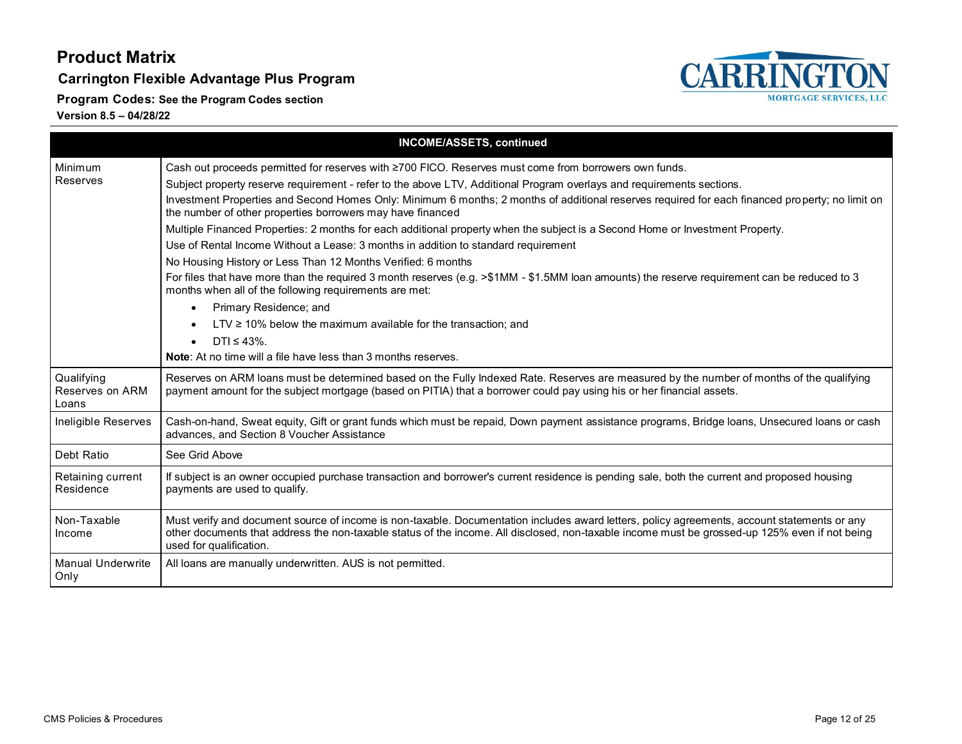**Carrington Flexible Advantage Plus Program**

**CARRINGTON MORTGAGE SERVICES, LLC** 

**Program Codes: See the Program Codes section**

|                                        | <b>INCOME/ASSETS, continued</b>                                                                                                                                                                                                                                                                                           |
|----------------------------------------|---------------------------------------------------------------------------------------------------------------------------------------------------------------------------------------------------------------------------------------------------------------------------------------------------------------------------|
| Minimum                                | Cash out proceeds permitted for reserves with ≥700 FICO. Reserves must come from borrowers own funds.                                                                                                                                                                                                                     |
| Reserves                               | Subject property reserve requirement - refer to the above LTV, Additional Program overlays and requirements sections.                                                                                                                                                                                                     |
|                                        | Investment Properties and Second Homes Only: Minimum 6 months; 2 months of additional reserves required for each financed property; no limit on<br>the number of other properties borrowers may have financed                                                                                                             |
|                                        | Multiple Financed Properties: 2 months for each additional property when the subject is a Second Home or Investment Property.                                                                                                                                                                                             |
|                                        | Use of Rental Income Without a Lease: 3 months in addition to standard requirement                                                                                                                                                                                                                                        |
|                                        | No Housing History or Less Than 12 Months Verified: 6 months                                                                                                                                                                                                                                                              |
|                                        | For files that have more than the required 3 month reserves (e.g. >\$1MM - \$1.5MM loan amounts) the reserve requirement can be reduced to 3<br>months when all of the following requirements are met:                                                                                                                    |
|                                        | Primary Residence; and<br>$\bullet$                                                                                                                                                                                                                                                                                       |
|                                        | $LTV \ge 10\%$ below the maximum available for the transaction; and                                                                                                                                                                                                                                                       |
|                                        | DTI $\leq 43\%$ .<br>$\bullet$                                                                                                                                                                                                                                                                                            |
|                                        | <b>Note:</b> At no time will a file have less than 3 months reserves.                                                                                                                                                                                                                                                     |
| Qualifying<br>Reserves on ARM<br>Loans | Reserves on ARM loans must be determined based on the Fully Indexed Rate. Reserves are measured by the number of months of the qualifying<br>payment amount for the subject mortgage (based on PITIA) that a borrower could pay using his or her financial assets.                                                        |
| Ineligible Reserves                    | Cash-on-hand, Sweat equity, Gift or grant funds which must be repaid, Down payment assistance programs, Bridge loans, Unsecured loans or cash<br>advances, and Section 8 Voucher Assistance                                                                                                                               |
| Debt Ratio                             | See Grid Above                                                                                                                                                                                                                                                                                                            |
| Retaining current<br>Residence         | If subject is an owner occupied purchase transaction and borrower's current residence is pending sale, both the current and proposed housing<br>payments are used to qualify.                                                                                                                                             |
| Non-Taxable<br>Income                  | Must verify and document source of income is non-taxable. Documentation includes award letters, policy agreements, account statements or any<br>other documents that address the non-taxable status of the income. All disclosed, non-taxable income must be grossed-up 125% even if not being<br>used for qualification. |
| <b>Manual Underwrite</b><br>Only       | All loans are manually underwritten. AUS is not permitted.                                                                                                                                                                                                                                                                |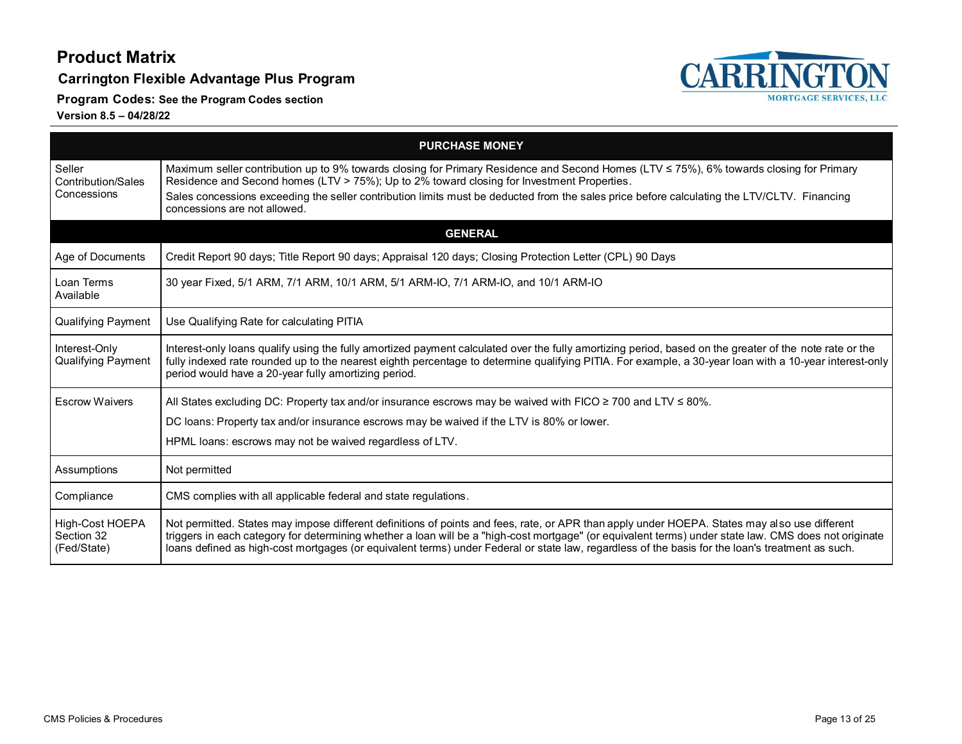**Carrington Flexible Advantage Plus Program**

**Program Codes: See the Program Codes section**



<span id="page-12-0"></span>

| <b>PURCHASE MONEY</b>                        |                                                                                                                                                                                                                                                                                                                                                                                                                                                            |
|----------------------------------------------|------------------------------------------------------------------------------------------------------------------------------------------------------------------------------------------------------------------------------------------------------------------------------------------------------------------------------------------------------------------------------------------------------------------------------------------------------------|
| Seller<br>Contribution/Sales<br>Concessions  | Maximum seller contribution up to 9% towards closing for Primary Residence and Second Homes (LTV ≤ 75%), 6% towards closing for Primary<br>Residence and Second homes (LTV > 75%); Up to 2% toward closing for Investment Properties.<br>Sales concessions exceeding the seller contribution limits must be deducted from the sales price before calculating the LTV/CLTV. Financing                                                                       |
|                                              | concessions are not allowed.                                                                                                                                                                                                                                                                                                                                                                                                                               |
| <b>GENERAL</b>                               |                                                                                                                                                                                                                                                                                                                                                                                                                                                            |
| Age of Documents                             | Credit Report 90 days; Title Report 90 days; Appraisal 120 days; Closing Protection Letter (CPL) 90 Days                                                                                                                                                                                                                                                                                                                                                   |
| Loan Terms<br>Available                      | 30 year Fixed, 5/1 ARM, 7/1 ARM, 10/1 ARM, 5/1 ARM-IO, 7/1 ARM-IO, and 10/1 ARM-IO                                                                                                                                                                                                                                                                                                                                                                         |
| Qualifying Payment                           | Use Qualifying Rate for calculating PITIA                                                                                                                                                                                                                                                                                                                                                                                                                  |
| Interest-Only<br>Qualifying Payment          | Interest-only loans qualify using the fully amortized payment calculated over the fully amortizing period, based on the greater of the note rate or the<br>fully indexed rate rounded up to the nearest eighth percentage to determine qualifying PITIA. For example, a 30-year loan with a 10-year interest-only<br>period would have a 20-year fully amortizing period.                                                                                  |
| <b>Escrow Waivers</b>                        | All States excluding DC: Property tax and/or insurance escrows may be waived with FICO $\geq$ 700 and LTV $\leq$ 80%.                                                                                                                                                                                                                                                                                                                                      |
|                                              | DC loans: Property tax and/or insurance escrows may be waived if the LTV is 80% or lower.                                                                                                                                                                                                                                                                                                                                                                  |
|                                              | HPML loans: escrows may not be waived regardless of LTV.                                                                                                                                                                                                                                                                                                                                                                                                   |
| Assumptions                                  | Not permitted                                                                                                                                                                                                                                                                                                                                                                                                                                              |
| Compliance                                   | CMS complies with all applicable federal and state regulations.                                                                                                                                                                                                                                                                                                                                                                                            |
| High-Cost HOEPA<br>Section 32<br>(Fed/State) | Not permitted. States may impose different definitions of points and fees, rate, or APR than apply under HOEPA. States may also use different<br>triggers in each category for determining whether a loan will be a "high-cost mortgage" (or equivalent terms) under state law. CMS does not originate<br>loans defined as high-cost mortgages (or equivalent terms) under Federal or state law, regardless of the basis for the loan's treatment as such. |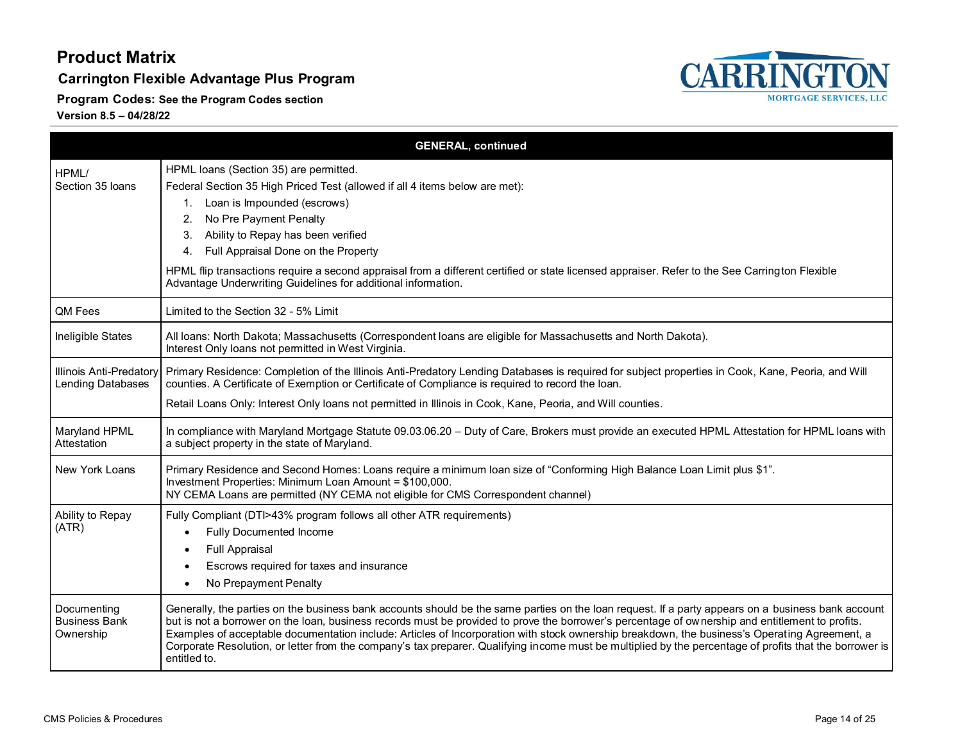**Carrington Flexible Advantage Plus Program**

**Program Codes: See the Program Codes section**



<span id="page-13-0"></span>

|                                                  | <b>GENERAL, continued</b>                                                                                                                                                                                                                                                                                                                                                                                                                                                                                                                                                                                                          |
|--------------------------------------------------|------------------------------------------------------------------------------------------------------------------------------------------------------------------------------------------------------------------------------------------------------------------------------------------------------------------------------------------------------------------------------------------------------------------------------------------------------------------------------------------------------------------------------------------------------------------------------------------------------------------------------------|
| HPML/<br>Section 35 Ioans                        | HPML loans (Section 35) are permitted.<br>Federal Section 35 High Priced Test (allowed if all 4 items below are met):<br>Loan is Impounded (escrows)<br>1.<br>No Pre Payment Penalty<br>2.<br>Ability to Repay has been verified<br>3.<br>Full Appraisal Done on the Property<br>4.<br>HPML flip transactions require a second appraisal from a different certified or state licensed appraiser. Refer to the See Carrington Flexible<br>Advantage Underwriting Guidelines for additional information.                                                                                                                             |
| QM Fees                                          | Limited to the Section 32 - 5% Limit                                                                                                                                                                                                                                                                                                                                                                                                                                                                                                                                                                                               |
| Ineligible States                                | All loans: North Dakota; Massachusetts (Correspondent loans are eligible for Massachusetts and North Dakota).<br>Interest Only loans not permitted in West Virginia.                                                                                                                                                                                                                                                                                                                                                                                                                                                               |
| Illinois Anti-Predatory<br>Lending Databases     | Primary Residence: Completion of the Illinois Anti-Predatory Lending Databases is required for subject properties in Cook, Kane, Peoria, and Will<br>counties. A Certificate of Exemption or Certificate of Compliance is required to record the loan.<br>Retail Loans Only: Interest Only loans not permitted in Illinois in Cook, Kane, Peoria, and Will counties.                                                                                                                                                                                                                                                               |
| Maryland HPML<br>Attestation                     | In compliance with Maryland Mortgage Statute 09.03.06.20 - Duty of Care, Brokers must provide an executed HPML Attestation for HPML loans with<br>a subject property in the state of Maryland.                                                                                                                                                                                                                                                                                                                                                                                                                                     |
| New York Loans                                   | Primary Residence and Second Homes: Loans require a minimum loan size of "Conforming High Balance Loan Limit plus \$1".<br>Investment Properties: Minimum Loan Amount = \$100,000.<br>NY CEMA Loans are permitted (NY CEMA not eligible for CMS Correspondent channel)                                                                                                                                                                                                                                                                                                                                                             |
| Ability to Repay<br>(ATR)                        | Fully Compliant (DTI>43% program follows all other ATR requirements)<br><b>Fully Documented Income</b><br><b>Full Appraisal</b><br>Escrows required for taxes and insurance<br>No Prepayment Penalty                                                                                                                                                                                                                                                                                                                                                                                                                               |
| Documenting<br><b>Business Bank</b><br>Ownership | Generally, the parties on the business bank accounts should be the same parties on the loan request. If a party appears on a business bank account<br>but is not a borrower on the loan, business records must be provided to prove the borrower's percentage of ownership and entitlement to profits.<br>Examples of acceptable documentation include: Articles of Incorporation with stock ownership breakdown, the business's Operating Agreement, a<br>Corporate Resolution, or letter from the company's tax preparer. Qualifying income must be multiplied by the percentage of profits that the borrower is<br>entitled to. |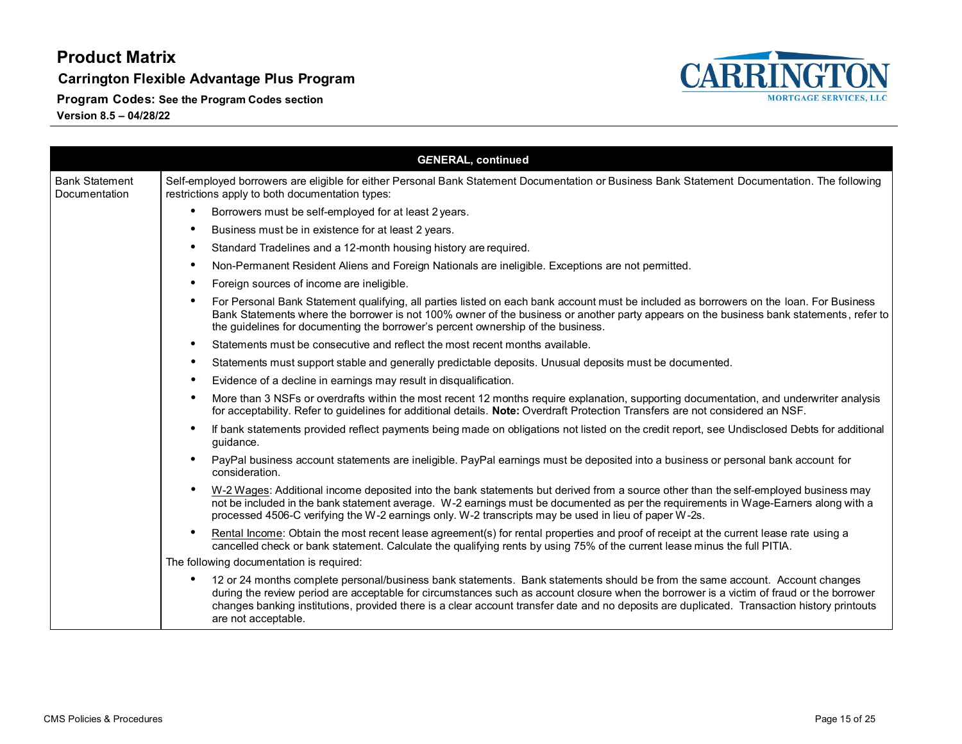**Carrington Flexible Advantage Plus Program**

**Program Codes: See the Program Codes section**



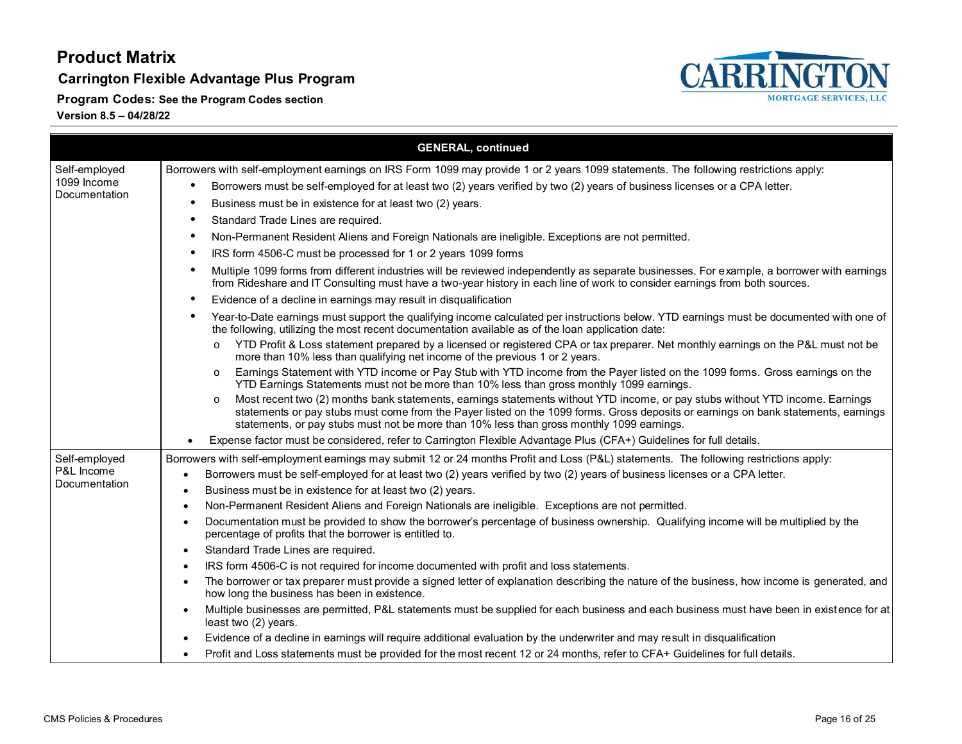**Carrington Flexible Advantage Plus Program**

**Program Codes: See the Program Codes section**



| <b>GENERAL, continued</b>    |                                                                                                                                                                                                                                                                                                                                                                             |
|------------------------------|-----------------------------------------------------------------------------------------------------------------------------------------------------------------------------------------------------------------------------------------------------------------------------------------------------------------------------------------------------------------------------|
| Self-employed                | Borrowers with self-employment earnings on IRS Form 1099 may provide 1 or 2 years 1099 statements. The following restrictions apply:                                                                                                                                                                                                                                        |
| 1099 Income<br>Documentation | Borrowers must be self-employed for at least two (2) years verified by two (2) years of business licenses or a CPA letter.<br>$\bullet$                                                                                                                                                                                                                                     |
|                              | Business must be in existence for at least two (2) years.<br>$\bullet$                                                                                                                                                                                                                                                                                                      |
|                              | Standard Trade Lines are required.<br>$\bullet$                                                                                                                                                                                                                                                                                                                             |
|                              | Non-Permanent Resident Aliens and Foreign Nationals are ineligible. Exceptions are not permitted.<br>$\bullet$                                                                                                                                                                                                                                                              |
|                              | IRS form 4506-C must be processed for 1 or 2 years 1099 forms<br>$\bullet$                                                                                                                                                                                                                                                                                                  |
|                              | Multiple 1099 forms from different industries will be reviewed independently as separate businesses. For example, a borrower with earnings<br>$\bullet$<br>from Rideshare and IT Consulting must have a two-year history in each line of work to consider earnings from both sources.                                                                                       |
|                              | Evidence of a decline in earnings may result in disqualification<br>$\bullet$                                                                                                                                                                                                                                                                                               |
|                              | Year-to-Date earnings must support the qualifying income calculated per instructions below. YTD earnings must be documented with one of<br>$\bullet$<br>the following, utilizing the most recent documentation available as of the loan application date:                                                                                                                   |
|                              | YTD Profit & Loss statement prepared by a licensed or registered CPA or tax preparer. Net monthly earnings on the P&L must not be<br>more than 10% less than qualifying net income of the previous 1 or 2 years.                                                                                                                                                            |
|                              | Earnings Statement with YTD income or Pay Stub with YTD income from the Payer listed on the 1099 forms. Gross earnings on the<br>YTD Earnings Statements must not be more than 10% less than gross monthly 1099 earnings.                                                                                                                                                   |
|                              | Most recent two (2) months bank statements, earnings statements without YTD income, or pay stubs without YTD income. Earnings<br>$\circ$<br>statements or pay stubs must come from the Payer listed on the 1099 forms. Gross deposits or earnings on bank statements, earnings<br>statements, or pay stubs must not be more than 10% less than gross monthly 1099 earnings. |
|                              | Expense factor must be considered, refer to Carrington Flexible Advantage Plus (CFA+) Guidelines for full details.                                                                                                                                                                                                                                                          |
| Self-employed                | Borrowers with self-employment earnings may submit 12 or 24 months Profit and Loss (P&L) statements. The following restrictions apply:                                                                                                                                                                                                                                      |
| P&L Income<br>Documentation  | Borrowers must be self-employed for at least two (2) years verified by two (2) years of business licenses or a CPA letter.<br>$\bullet$                                                                                                                                                                                                                                     |
|                              | Business must be in existence for at least two (2) years.                                                                                                                                                                                                                                                                                                                   |
|                              | Non-Permanent Resident Aliens and Foreign Nationals are ineligible. Exceptions are not permitted.<br>$\bullet$                                                                                                                                                                                                                                                              |
|                              | Documentation must be provided to show the borrower's percentage of business ownership. Qualifying income will be multiplied by the<br>percentage of profits that the borrower is entitled to.                                                                                                                                                                              |
|                              | Standard Trade Lines are required.<br>$\bullet$                                                                                                                                                                                                                                                                                                                             |
|                              | IRS form 4506-C is not required for income documented with profit and loss statements.                                                                                                                                                                                                                                                                                      |
|                              | The borrower or tax preparer must provide a signed letter of explanation describing the nature of the business, how income is generated, and<br>how long the business has been in existence.                                                                                                                                                                                |
|                              | Multiple businesses are permitted, P&L statements must be supplied for each business and each business must have been in existence for at<br>least two (2) years.                                                                                                                                                                                                           |
|                              | Evidence of a decline in earnings will require additional evaluation by the underwriter and may result in disqualification                                                                                                                                                                                                                                                  |
|                              | Profit and Loss statements must be provided for the most recent 12 or 24 months, refer to CFA+ Guidelines for full details.                                                                                                                                                                                                                                                 |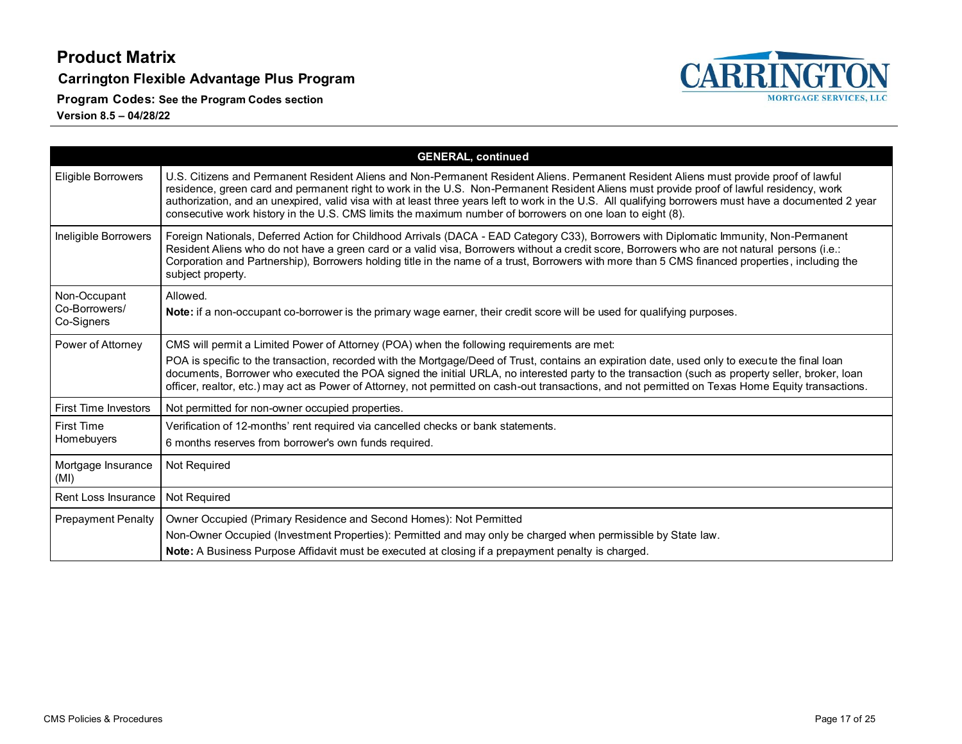**Carrington Flexible Advantage Plus Program**

**Program Codes: See the Program Codes section**



|                                             | <b>GENERAL, continued</b>                                                                                                                                                                                                                                                                                                                                                                                                                                                                                                                               |
|---------------------------------------------|---------------------------------------------------------------------------------------------------------------------------------------------------------------------------------------------------------------------------------------------------------------------------------------------------------------------------------------------------------------------------------------------------------------------------------------------------------------------------------------------------------------------------------------------------------|
| Eligible Borrowers                          | U.S. Citizens and Permanent Resident Aliens and Non-Permanent Resident Aliens. Permanent Resident Aliens must provide proof of lawful<br>residence, green card and permanent right to work in the U.S. Non-Permanent Resident Aliens must provide proof of lawful residency, work<br>authorization, and an unexpired, valid visa with at least three years left to work in the U.S. All qualifying borrowers must have a documented 2 year<br>consecutive work history in the U.S. CMS limits the maximum number of borrowers on one loan to eight (8). |
| Ineligible Borrowers                        | Foreign Nationals, Deferred Action for Childhood Arrivals (DACA - EAD Category C33), Borrowers with Diplomatic Immunity, Non-Permanent<br>Resident Aliens who do not have a green card or a valid visa, Borrowers without a credit score, Borrowers who are not natural persons (i.e.:<br>Corporation and Partnership), Borrowers holding title in the name of a trust, Borrowers with more than 5 CMS financed properties, including the<br>subject property.                                                                                          |
| Non-Occupant<br>Co-Borrowers/<br>Co-Signers | Allowed.<br>Note: if a non-occupant co-borrower is the primary wage earner, their credit score will be used for qualifying purposes.                                                                                                                                                                                                                                                                                                                                                                                                                    |
| Power of Attorney                           | CMS will permit a Limited Power of Attorney (POA) when the following requirements are met:                                                                                                                                                                                                                                                                                                                                                                                                                                                              |
|                                             | POA is specific to the transaction, recorded with the Mortgage/Deed of Trust, contains an expiration date, used only to execute the final loan<br>documents, Borrower who executed the POA signed the initial URLA, no interested party to the transaction (such as property seller, broker, loan<br>officer, realtor, etc.) may act as Power of Attorney, not permitted on cash-out transactions, and not permitted on Texas Home Equity transactions.                                                                                                 |
| <b>First Time Investors</b>                 | Not permitted for non-owner occupied properties.                                                                                                                                                                                                                                                                                                                                                                                                                                                                                                        |
| <b>First Time</b>                           | Verification of 12-months' rent required via cancelled checks or bank statements.                                                                                                                                                                                                                                                                                                                                                                                                                                                                       |
| Homebuyers                                  | 6 months reserves from borrower's own funds required.                                                                                                                                                                                                                                                                                                                                                                                                                                                                                                   |
| Mortgage Insurance<br>(MI)                  | Not Required                                                                                                                                                                                                                                                                                                                                                                                                                                                                                                                                            |
| Rent Loss Insurance                         | Not Required                                                                                                                                                                                                                                                                                                                                                                                                                                                                                                                                            |
| <b>Prepayment Penalty</b>                   | Owner Occupied (Primary Residence and Second Homes): Not Permitted                                                                                                                                                                                                                                                                                                                                                                                                                                                                                      |
|                                             | Non-Owner Occupied (Investment Properties): Permitted and may only be charged when permissible by State law.                                                                                                                                                                                                                                                                                                                                                                                                                                            |
|                                             | Note: A Business Purpose Affidavit must be executed at closing if a prepayment penalty is charged.                                                                                                                                                                                                                                                                                                                                                                                                                                                      |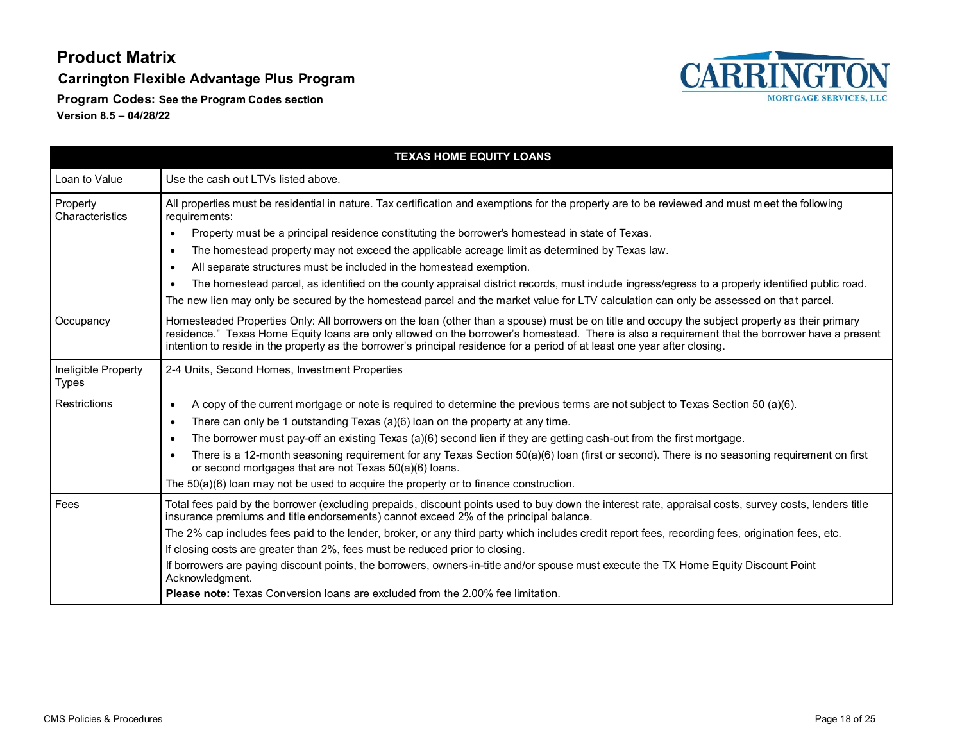**Carrington Flexible Advantage Plus Program**

**Program Codes: See the Program Codes section**



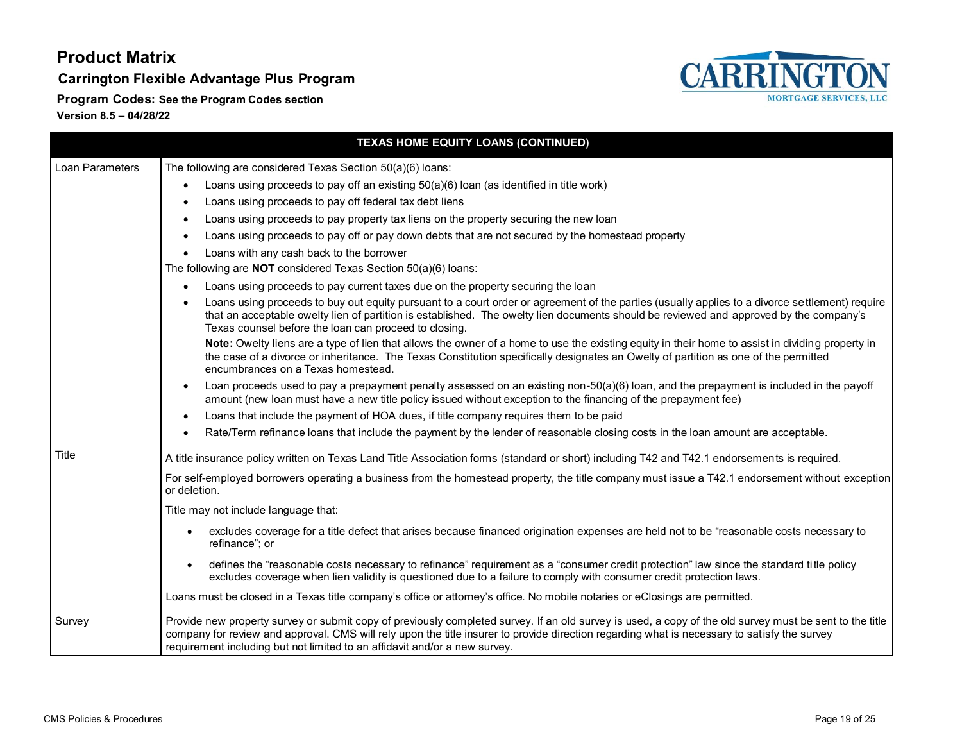**Carrington Flexible Advantage Plus Program**





**Program Codes: See the Program Codes section**

| TEXAS HOME EQUITY LOANS (CONTINUED)                                                                                                                              |                                                                                                                                                                                                                                                                                                                                                                                       |  |
|------------------------------------------------------------------------------------------------------------------------------------------------------------------|---------------------------------------------------------------------------------------------------------------------------------------------------------------------------------------------------------------------------------------------------------------------------------------------------------------------------------------------------------------------------------------|--|
| Loan Parameters                                                                                                                                                  | The following are considered Texas Section 50(a)(6) loans:                                                                                                                                                                                                                                                                                                                            |  |
|                                                                                                                                                                  | Loans using proceeds to pay off an existing 50(a)(6) loan (as identified in title work)<br>$\bullet$                                                                                                                                                                                                                                                                                  |  |
|                                                                                                                                                                  | Loans using proceeds to pay off federal tax debt liens                                                                                                                                                                                                                                                                                                                                |  |
|                                                                                                                                                                  | Loans using proceeds to pay property tax liens on the property securing the new loan                                                                                                                                                                                                                                                                                                  |  |
|                                                                                                                                                                  | Loans using proceeds to pay off or pay down debts that are not secured by the homestead property<br>$\bullet$                                                                                                                                                                                                                                                                         |  |
|                                                                                                                                                                  | Loans with any cash back to the borrower<br>$\bullet$                                                                                                                                                                                                                                                                                                                                 |  |
| The following are <b>NOT</b> considered Texas Section 50(a)(6) loans:                                                                                            |                                                                                                                                                                                                                                                                                                                                                                                       |  |
|                                                                                                                                                                  | Loans using proceeds to pay current taxes due on the property securing the loan                                                                                                                                                                                                                                                                                                       |  |
|                                                                                                                                                                  | Loans using proceeds to buy out equity pursuant to a court order or agreement of the parties (usually applies to a divorce settlement) require<br>that an acceptable owelty lien of partition is established. The owelty lien documents should be reviewed and approved by the company's<br>Texas counsel before the loan can proceed to closing.                                     |  |
|                                                                                                                                                                  | Note: Owelty liens are a type of lien that allows the owner of a home to use the existing equity in their home to assist in dividing property in<br>the case of a divorce or inheritance. The Texas Constitution specifically designates an Owelty of partition as one of the permitted<br>encumbrances on a Texas homestead.                                                         |  |
|                                                                                                                                                                  | Loan proceeds used to pay a prepayment penalty assessed on an existing non-50(a)(6) loan, and the prepayment is included in the payoff<br>$\bullet$<br>amount (new loan must have a new title policy issued without exception to the financing of the prepayment fee)                                                                                                                 |  |
|                                                                                                                                                                  | Loans that include the payment of HOA dues, if title company requires them to be paid<br>$\bullet$                                                                                                                                                                                                                                                                                    |  |
|                                                                                                                                                                  | Rate/Term refinance loans that include the payment by the lender of reasonable closing costs in the loan amount are acceptable.<br>$\bullet$                                                                                                                                                                                                                                          |  |
| Title                                                                                                                                                            | A title insurance policy written on Texas Land Title Association forms (standard or short) including T42 and T42.1 endorsements is required.                                                                                                                                                                                                                                          |  |
| For self-employed borrowers operating a business from the homestead property, the title company must issue a T42.1 endorsement without exception<br>or deletion. |                                                                                                                                                                                                                                                                                                                                                                                       |  |
|                                                                                                                                                                  | Title may not include language that:                                                                                                                                                                                                                                                                                                                                                  |  |
|                                                                                                                                                                  | excludes coverage for a title defect that arises because financed origination expenses are held not to be "reasonable costs necessary to<br>$\bullet$<br>refinance"; or                                                                                                                                                                                                               |  |
|                                                                                                                                                                  | defines the "reasonable costs necessary to refinance" requirement as a "consumer credit protection" law since the standard title policy<br>$\bullet$<br>excludes coverage when lien validity is questioned due to a failure to comply with consumer credit protection laws.                                                                                                           |  |
|                                                                                                                                                                  | Loans must be closed in a Texas title company's office or attorney's office. No mobile notaries or eClosings are permitted.                                                                                                                                                                                                                                                           |  |
| Survey                                                                                                                                                           | Provide new property survey or submit copy of previously completed survey. If an old survey is used, a copy of the old survey must be sent to the title<br>company for review and approval. CMS will rely upon the title insurer to provide direction regarding what is necessary to satisfy the survey<br>requirement including but not limited to an affidavit and/or a new survey. |  |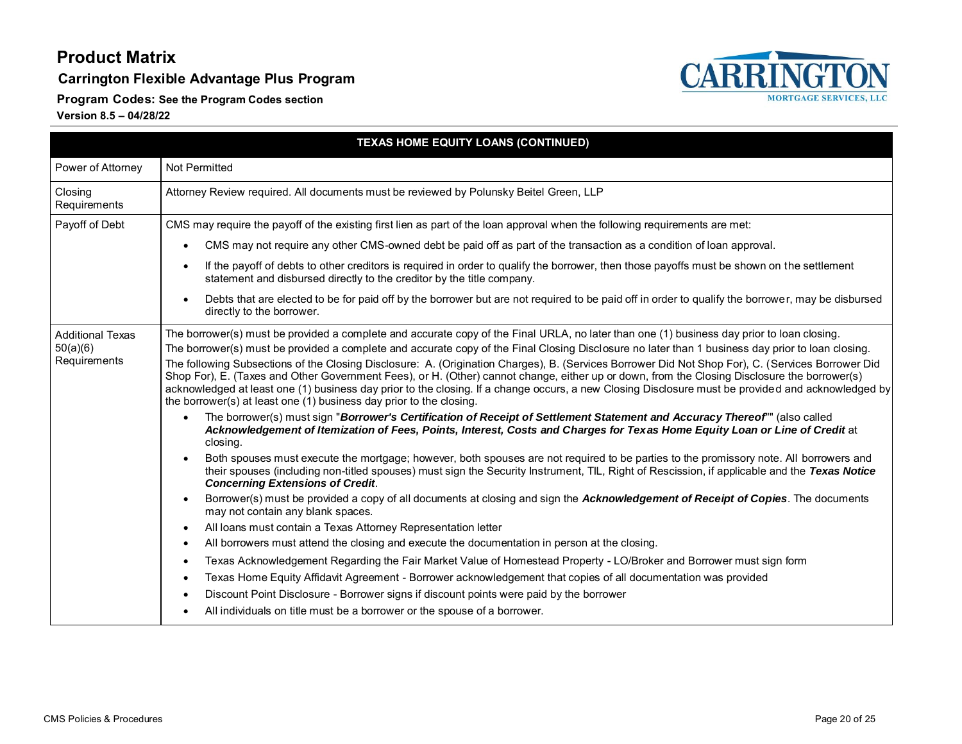**Carrington Flexible Advantage Plus Program**

**Program Codes: See the Program Codes section**



| TEXAS HOME EQUITY LOANS (CONTINUED)                 |                                                                                                                                                                                                                                                                                                                                                                                                                                                                                                                                                                                                                                                                                                                                                                                                                                                                                                                                                                                                                                                                                                                                                                                                                                                                                                                                                                                                                                                                                                                                                                                                                                                                                           |
|-----------------------------------------------------|-------------------------------------------------------------------------------------------------------------------------------------------------------------------------------------------------------------------------------------------------------------------------------------------------------------------------------------------------------------------------------------------------------------------------------------------------------------------------------------------------------------------------------------------------------------------------------------------------------------------------------------------------------------------------------------------------------------------------------------------------------------------------------------------------------------------------------------------------------------------------------------------------------------------------------------------------------------------------------------------------------------------------------------------------------------------------------------------------------------------------------------------------------------------------------------------------------------------------------------------------------------------------------------------------------------------------------------------------------------------------------------------------------------------------------------------------------------------------------------------------------------------------------------------------------------------------------------------------------------------------------------------------------------------------------------------|
| Power of Attorney                                   | Not Permitted                                                                                                                                                                                                                                                                                                                                                                                                                                                                                                                                                                                                                                                                                                                                                                                                                                                                                                                                                                                                                                                                                                                                                                                                                                                                                                                                                                                                                                                                                                                                                                                                                                                                             |
| Closing<br>Requirements                             | Attorney Review required. All documents must be reviewed by Polunsky Beitel Green, LLP                                                                                                                                                                                                                                                                                                                                                                                                                                                                                                                                                                                                                                                                                                                                                                                                                                                                                                                                                                                                                                                                                                                                                                                                                                                                                                                                                                                                                                                                                                                                                                                                    |
| Payoff of Debt                                      | CMS may require the payoff of the existing first lien as part of the loan approval when the following requirements are met:                                                                                                                                                                                                                                                                                                                                                                                                                                                                                                                                                                                                                                                                                                                                                                                                                                                                                                                                                                                                                                                                                                                                                                                                                                                                                                                                                                                                                                                                                                                                                               |
|                                                     | CMS may not require any other CMS-owned debt be paid off as part of the transaction as a condition of loan approval.                                                                                                                                                                                                                                                                                                                                                                                                                                                                                                                                                                                                                                                                                                                                                                                                                                                                                                                                                                                                                                                                                                                                                                                                                                                                                                                                                                                                                                                                                                                                                                      |
|                                                     | If the payoff of debts to other creditors is required in order to qualify the borrower, then those payoffs must be shown on the settlement<br>statement and disbursed directly to the creditor by the title company.                                                                                                                                                                                                                                                                                                                                                                                                                                                                                                                                                                                                                                                                                                                                                                                                                                                                                                                                                                                                                                                                                                                                                                                                                                                                                                                                                                                                                                                                      |
|                                                     | Debts that are elected to be for paid off by the borrower but are not required to be paid off in order to qualify the borrower, may be disbursed<br>directly to the borrower.                                                                                                                                                                                                                                                                                                                                                                                                                                                                                                                                                                                                                                                                                                                                                                                                                                                                                                                                                                                                                                                                                                                                                                                                                                                                                                                                                                                                                                                                                                             |
| <b>Additional Texas</b><br>50(a)(6)<br>Requirements | The borrower(s) must be provided a complete and accurate copy of the Final URLA, no later than one (1) business day prior to loan closing.<br>The borrower(s) must be provided a complete and accurate copy of the Final Closing Disclosure no later than 1 business day prior to loan closing.<br>The following Subsections of the Closing Disclosure: A. (Origination Charges), B. (Services Borrower Did Not Shop For), C. (Services Borrower Did<br>Shop For), E. (Taxes and Other Government Fees), or H. (Other) cannot change, either up or down, from the Closing Disclosure the borrower(s)<br>acknowledged at least one (1) business day prior to the closing. If a change occurs, a new Closing Disclosure must be provided and acknowledged by<br>the borrower(s) at least one (1) business day prior to the closing.<br>The borrower(s) must sign "Borrower's Certification of Receipt of Settlement Statement and Accuracy Thereof"" (also called<br>Acknowledgement of Itemization of Fees, Points, Interest, Costs and Charges for Texas Home Equity Loan or Line of Credit at<br>closing.<br>Both spouses must execute the mortgage; however, both spouses are not required to be parties to the promissory note. All borrowers and<br>their spouses (including non-titled spouses) must sign the Security Instrument, TIL, Right of Rescission, if applicable and the Texas Notice<br><b>Concerning Extensions of Credit.</b><br>Borrower(s) must be provided a copy of all documents at closing and sign the Acknowledgement of Receipt of Copies. The documents<br>may not contain any blank spaces.<br>All loans must contain a Texas Attorney Representation letter |
|                                                     | All borrowers must attend the closing and execute the documentation in person at the closing.                                                                                                                                                                                                                                                                                                                                                                                                                                                                                                                                                                                                                                                                                                                                                                                                                                                                                                                                                                                                                                                                                                                                                                                                                                                                                                                                                                                                                                                                                                                                                                                             |
|                                                     | Texas Acknowledgement Regarding the Fair Market Value of Homestead Property - LO/Broker and Borrower must sign form                                                                                                                                                                                                                                                                                                                                                                                                                                                                                                                                                                                                                                                                                                                                                                                                                                                                                                                                                                                                                                                                                                                                                                                                                                                                                                                                                                                                                                                                                                                                                                       |
|                                                     | Texas Home Equity Affidavit Agreement - Borrower acknowledgement that copies of all documentation was provided                                                                                                                                                                                                                                                                                                                                                                                                                                                                                                                                                                                                                                                                                                                                                                                                                                                                                                                                                                                                                                                                                                                                                                                                                                                                                                                                                                                                                                                                                                                                                                            |
|                                                     | Discount Point Disclosure - Borrower signs if discount points were paid by the borrower                                                                                                                                                                                                                                                                                                                                                                                                                                                                                                                                                                                                                                                                                                                                                                                                                                                                                                                                                                                                                                                                                                                                                                                                                                                                                                                                                                                                                                                                                                                                                                                                   |
|                                                     | All individuals on title must be a borrower or the spouse of a borrower.                                                                                                                                                                                                                                                                                                                                                                                                                                                                                                                                                                                                                                                                                                                                                                                                                                                                                                                                                                                                                                                                                                                                                                                                                                                                                                                                                                                                                                                                                                                                                                                                                  |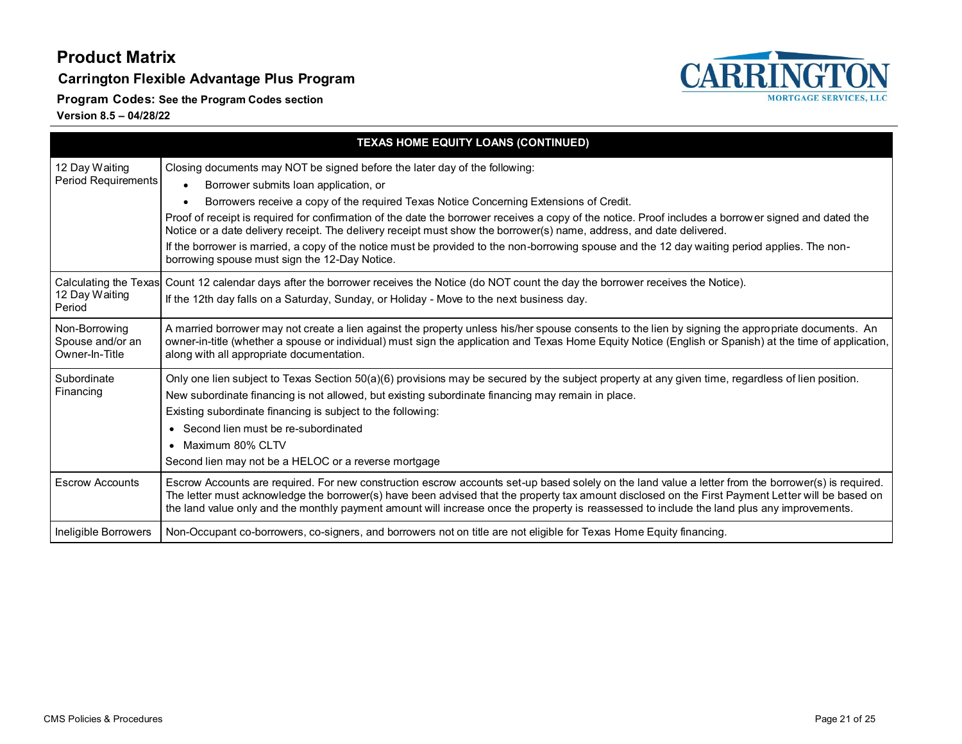**Carrington Flexible Advantage Plus Program**





| TEXAS HOME EQUITY LOANS (CONTINUED)                 |                                                                                                                                                                                                                                                                                                                                                                                                                                                                                                                                                                                                                                                                                                              |
|-----------------------------------------------------|--------------------------------------------------------------------------------------------------------------------------------------------------------------------------------------------------------------------------------------------------------------------------------------------------------------------------------------------------------------------------------------------------------------------------------------------------------------------------------------------------------------------------------------------------------------------------------------------------------------------------------------------------------------------------------------------------------------|
| 12 Day Waiting<br><b>Period Requirements</b>        | Closing documents may NOT be signed before the later day of the following:<br>Borrower submits loan application, or<br>$\bullet$<br>Borrowers receive a copy of the required Texas Notice Concerning Extensions of Credit.<br>Proof of receipt is required for confirmation of the date the borrower receives a copy of the notice. Proof includes a borrower signed and dated the<br>Notice or a date delivery receipt. The delivery receipt must show the borrower(s) name, address, and date delivered.<br>If the borrower is married, a copy of the notice must be provided to the non-borrowing spouse and the 12 day waiting period applies. The non-<br>borrowing spouse must sign the 12-Day Notice. |
| Calculating the Texas<br>12 Day Waiting<br>Period   | Count 12 calendar days after the borrower receives the Notice (do NOT count the day the borrower receives the Notice).<br>If the 12th day falls on a Saturday, Sunday, or Holiday - Move to the next business day.                                                                                                                                                                                                                                                                                                                                                                                                                                                                                           |
| Non-Borrowing<br>Spouse and/or an<br>Owner-In-Title | A married borrower may not create a lien against the property unless his/her spouse consents to the lien by signing the appropriate documents. An<br>owner-in-title (whether a spouse or individual) must sign the application and Texas Home Equity Notice (English or Spanish) at the time of application,<br>along with all appropriate documentation.                                                                                                                                                                                                                                                                                                                                                    |
| Subordinate<br>Financing                            | Only one lien subject to Texas Section 50(a)(6) provisions may be secured by the subject property at any given time, regardless of lien position.<br>New subordinate financing is not allowed, but existing subordinate financing may remain in place.<br>Existing subordinate financing is subject to the following:<br>• Second lien must be re-subordinated<br>• Maximum 80% CLTV<br>Second lien may not be a HELOC or a reverse mortgage                                                                                                                                                                                                                                                                 |
| <b>Escrow Accounts</b>                              | Escrow Accounts are required. For new construction escrow accounts set-up based solely on the land value a letter from the borrower(s) is required.<br>The letter must acknowledge the borrower(s) have been advised that the property tax amount disclosed on the First Payment Letter will be based on<br>the land value only and the monthly payment amount will increase once the property is reassessed to include the land plus any improvements.                                                                                                                                                                                                                                                      |
| Ineligible Borrowers                                | Non-Occupant co-borrowers, co-signers, and borrowers not on title are not eligible for Texas Home Equity financing.                                                                                                                                                                                                                                                                                                                                                                                                                                                                                                                                                                                          |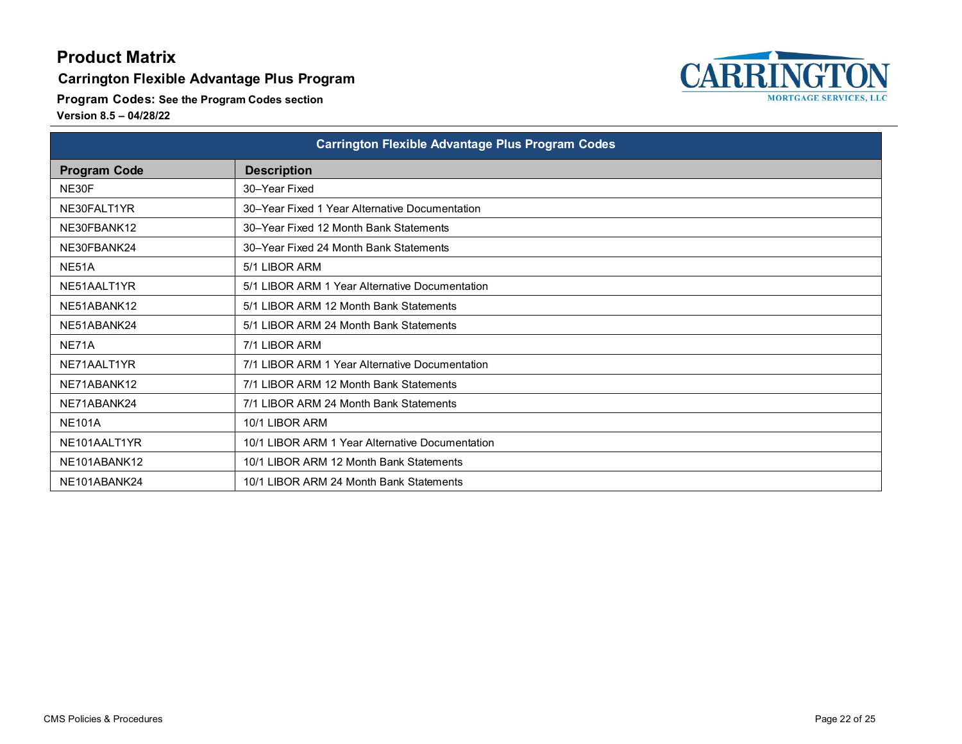#### **Carrington Flexible Advantage Plus Program**

**Program Codes: See the Program Codes section**

| <b>Carrington Flexible Advantage Plus Program Codes</b> |                                                 |
|---------------------------------------------------------|-------------------------------------------------|
| <b>Program Code</b>                                     | <b>Description</b>                              |
| NE30F                                                   | 30-Year Fixed                                   |
| NE30FALT1YR                                             | 30-Year Fixed 1 Year Alternative Documentation  |
| NE30FBANK12                                             | 30–Year Fixed 12 Month Bank Statements          |
| NE30FBANK24                                             | 30–Year Fixed 24 Month Bank Statements          |
| NE51A                                                   | 5/1 LIBOR ARM                                   |
| NE51AALT1YR                                             | 5/1 LIBOR ARM 1 Year Alternative Documentation  |
| NE51ABANK12                                             | 5/1 LIBOR ARM 12 Month Bank Statements          |
| NE51ABANK24                                             | 5/1 LIBOR ARM 24 Month Bank Statements          |
| NE71A                                                   | 7/1 LIBOR ARM                                   |
| NE71AALT1YR                                             | 7/1 LIBOR ARM 1 Year Alternative Documentation  |
| NE71ABANK12                                             | 7/1 LIBOR ARM 12 Month Bank Statements          |
| NE71ABANK24                                             | 7/1 LIBOR ARM 24 Month Bank Statements          |
| <b>NE101A</b>                                           | 10/1 LIBOR ARM                                  |
| NE101AALT1YR                                            | 10/1 LIBOR ARM 1 Year Alternative Documentation |
| NE101ABANK12                                            | 10/1 LIBOR ARM 12 Month Bank Statements         |
| NE101ABANK24                                            | 10/1 LIBOR ARM 24 Month Bank Statements         |

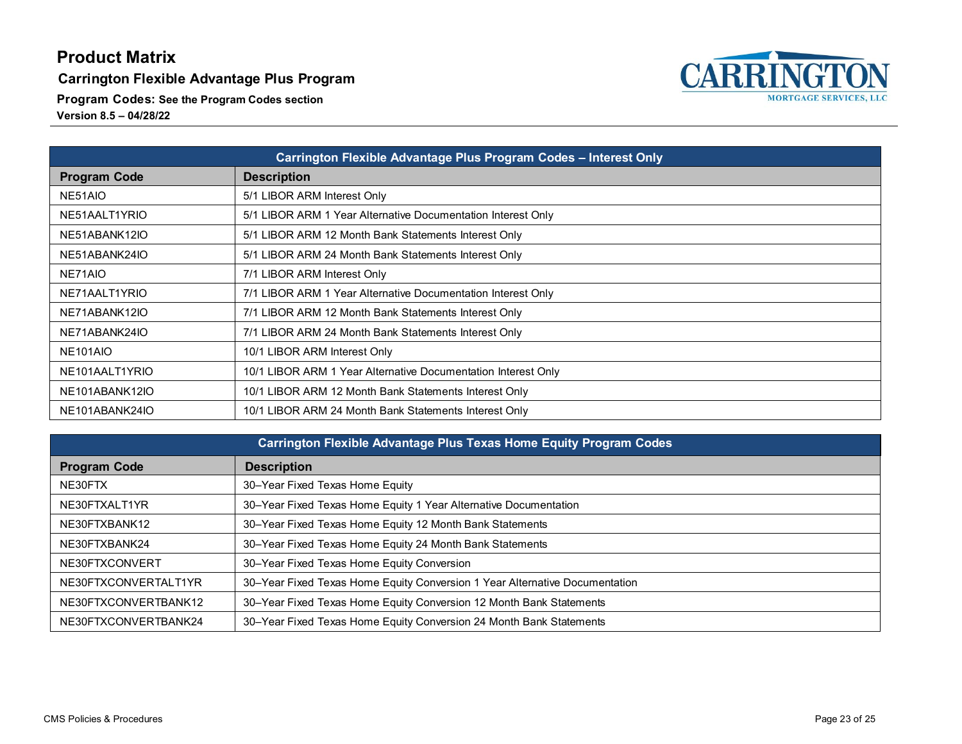**Carrington Flexible Advantage Plus Program**

**Program Codes: See the Program Codes section**

| Carrington Flexible Advantage Plus Program Codes - Interest Only |                                                               |
|------------------------------------------------------------------|---------------------------------------------------------------|
| <b>Program Code</b>                                              | <b>Description</b>                                            |
| NE51AIO                                                          | 5/1 LIBOR ARM Interest Only                                   |
| NE51AALT1YRIO                                                    | 5/1 LIBOR ARM 1 Year Alternative Documentation Interest Only  |
| NE51ABANK12IO                                                    | 5/1 LIBOR ARM 12 Month Bank Statements Interest Only          |
| NE51ABANK24IO                                                    | 5/1 LIBOR ARM 24 Month Bank Statements Interest Only          |
| NE71AIO                                                          | 7/1 LIBOR ARM Interest Only                                   |
| NE71AALT1YRIO                                                    | 7/1 LIBOR ARM 1 Year Alternative Documentation Interest Only  |
| NE71ABANK12IO                                                    | 7/1 LIBOR ARM 12 Month Bank Statements Interest Only          |
| NE71ABANK24IO                                                    | 7/1 LIBOR ARM 24 Month Bank Statements Interest Only          |
| NE101AIO                                                         | 10/1 LIBOR ARM Interest Only                                  |
| NE101AALT1YRIO                                                   | 10/1 LIBOR ARM 1 Year Alternative Documentation Interest Only |
| NE101ABANK12IO                                                   | 10/1 LIBOR ARM 12 Month Bank Statements Interest Only         |
| NE101ABANK24IO                                                   | 10/1 LIBOR ARM 24 Month Bank Statements Interest Only         |

| Carrington Flexible Advantage Plus Texas Home Equity Program Codes |                                                                             |  |
|--------------------------------------------------------------------|-----------------------------------------------------------------------------|--|
| <b>Program Code</b>                                                | <b>Description</b>                                                          |  |
| NE30FTX                                                            | 30-Year Fixed Texas Home Equity                                             |  |
| NE30FTXALT1YR                                                      | 30-Year Fixed Texas Home Equity 1 Year Alternative Documentation            |  |
| NE30FTXBANK12                                                      | 30-Year Fixed Texas Home Equity 12 Month Bank Statements                    |  |
| NE30FTXBANK24                                                      | 30-Year Fixed Texas Home Equity 24 Month Bank Statements                    |  |
| NE30FTXCONVERT                                                     | 30-Year Fixed Texas Home Equity Conversion                                  |  |
| NE30FTXCONVERTALT1YR                                               | 30–Year Fixed Texas Home Equity Conversion 1 Year Alternative Documentation |  |
| NE30FTXCONVERTBANK12                                               | 30-Year Fixed Texas Home Equity Conversion 12 Month Bank Statements         |  |
| NE30FTXCONVERTBANK24                                               | 30–Year Fixed Texas Home Equity Conversion 24 Month Bank Statements         |  |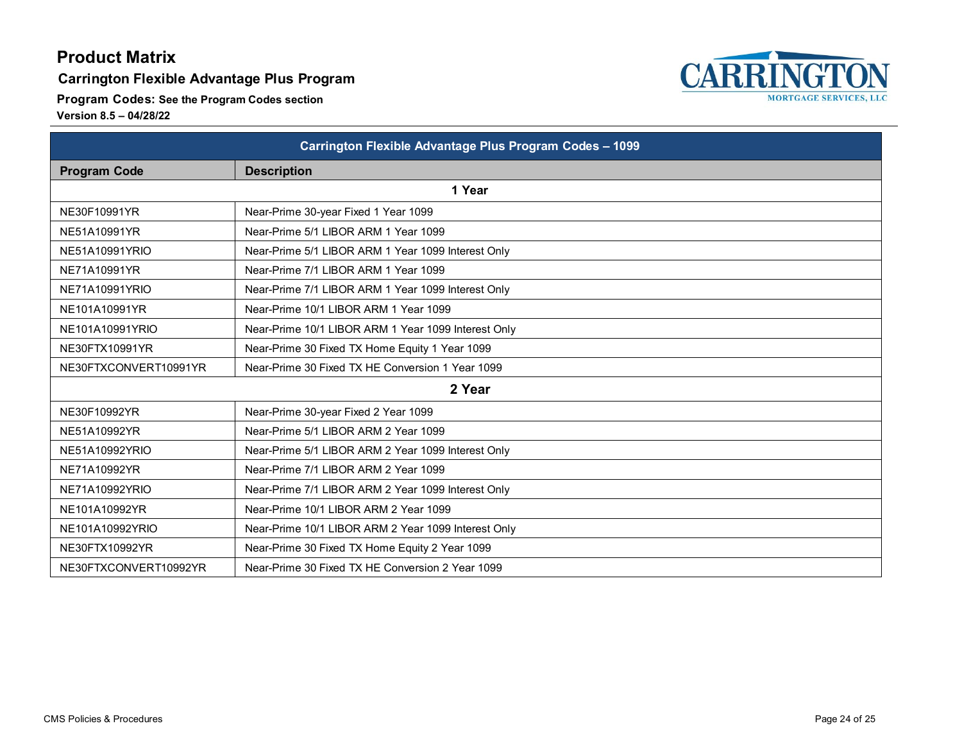#### **Carrington Flexible Advantage Plus Program**

**Program Codes: See the Program Codes section**